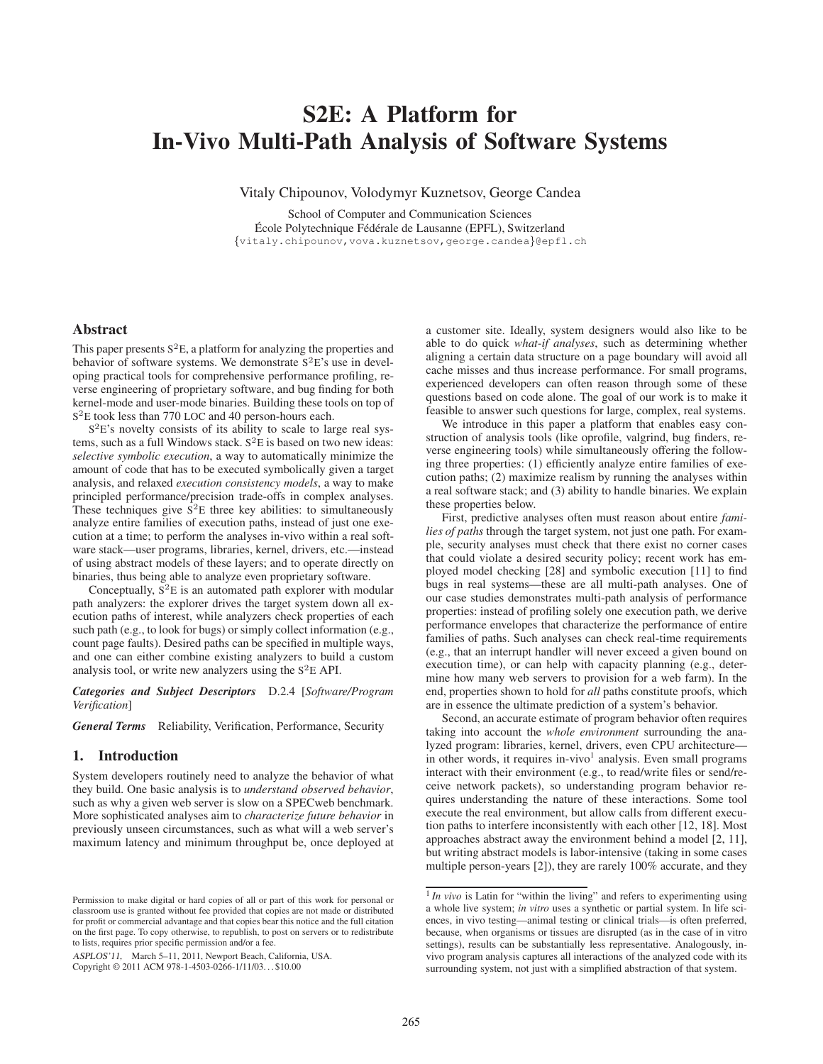# S2E: A Platform for In-Vivo Multi-Path Analysis of Software Systems

Vitaly Chipounov, Volodymyr Kuznetsov, George Candea

School of Computer and Communication Sciences École Polytechnique Fédérale de Lausanne (EPFL), Switzerland {vitaly.chipounov,vova.kuznetsov,george.candea}@epfl.ch

# Abstract

This paper presents  $S^2E$ , a platform for analyzing the properties and behavior of software systems. We demonstrate S<sup>2</sup>E's use in developing practical tools for comprehensive performance profiling, reverse engineering of proprietary software, and bug finding for both kernel-mode and user-mode binaries. Building these tools on top of S <sup>2</sup>E took less than 770 LOC and 40 person-hours each.

S <sup>2</sup>E's novelty consists of its ability to scale to large real systems, such as a full Windows stack.  $S^2E$  is based on two new ideas: *selective symbolic execution*, a way to automatically minimize the amount of code that has to be executed symbolically given a target analysis, and relaxed *execution consistency models*, a way to make principled performance/precision trade-offs in complex analyses. These techniques give  $S^2E$  three key abilities: to simultaneously analyze entire families of execution paths, instead of just one execution at a time; to perform the analyses in-vivo within a real software stack—user programs, libraries, kernel, drivers, etc.—instead of using abstract models of these layers; and to operate directly on binaries, thus being able to analyze even proprietary software.

Conceptually,  $S^2E$  is an automated path explorer with modular path analyzers: the explorer drives the target system down all execution paths of interest, while analyzers check properties of each such path (e.g., to look for bugs) or simply collect information (e.g., count page faults). Desired paths can be specified in multiple ways, and one can either combine existing analyzers to build a custom analysis tool, or write new analyzers using the S <sup>2</sup>E API.

# *Categories and Subject Descriptors* D.2.4 [*Software/Program Verification*]

*General Terms* Reliability, Verification, Performance, Security

# 1. Introduction

System developers routinely need to analyze the behavior of what they build. One basic analysis is to *understand observed behavior*, such as why a given web server is slow on a SPECweb benchmark. More sophisticated analyses aim to *characterize future behavior* in previously unseen circumstances, such as what will a web server's maximum latency and minimum throughput be, once deployed at

ASPLOS'11, March 5–11, 2011, Newport Beach, California, USA. Copyright © 2011 ACM 978-1-4503-0266-1/11/03. . . \$10.00

a customer site. Ideally, system designers would also like to be able to do quick *what-if analyses*, such as determining whether aligning a certain data structure on a page boundary will avoid all cache misses and thus increase performance. For small programs, experienced developers can often reason through some of these questions based on code alone. The goal of our work is to make it feasible to answer such questions for large, complex, real systems.

We introduce in this paper a platform that enables easy construction of analysis tools (like oprofile, valgrind, bug finders, reverse engineering tools) while simultaneously offering the following three properties: (1) efficiently analyze entire families of execution paths; (2) maximize realism by running the analyses within a real software stack; and (3) ability to handle binaries. We explain these properties below.

First, predictive analyses often must reason about entire *families of paths* through the target system, not just one path. For example, security analyses must check that there exist no corner cases that could violate a desired security policy; recent work has employed model checking [28] and symbolic execution [11] to find bugs in real systems—these are all multi-path analyses. One of our case studies demonstrates multi-path analysis of performance properties: instead of profiling solely one execution path, we derive performance envelopes that characterize the performance of entire families of paths. Such analyses can check real-time requirements (e.g., that an interrupt handler will never exceed a given bound on execution time), or can help with capacity planning (e.g., determine how many web servers to provision for a web farm). In the end, properties shown to hold for *all* paths constitute proofs, which are in essence the ultimate prediction of a system's behavior.

Second, an accurate estimate of program behavior often requires taking into account the *whole environment* surrounding the analyzed program: libraries, kernel, drivers, even CPU architecture in other words, it requires in-vivo<sup>1</sup> analysis. Even small programs interact with their environment (e.g., to read/write files or send/receive network packets), so understanding program behavior requires understanding the nature of these interactions. Some tool execute the real environment, but allow calls from different execution paths to interfere inconsistently with each other [12, 18]. Most approaches abstract away the environment behind a model [2, 11], but writing abstract models is labor-intensive (taking in some cases multiple person-years [2]), they are rarely 100% accurate, and they

Permission to make digital or hard copies of all or part of this work for personal or classroom use is granted without fee provided that copies are not made or distributed for profit or commercial advantage and that copies bear this notice and the full citation on the first page. To copy otherwise, to republish, to post on servers or to redistribute to lists, requires prior specific permission and/or a fee.

 $<sup>1</sup>$ *In vivo* is Latin for "within the living" and refers to experimenting using</sup> a whole live system; *in vitro* uses a synthetic or partial system. In life sciences, in vivo testing—animal testing or clinical trials—is often preferred, because, when organisms or tissues are disrupted (as in the case of in vitro settings), results can be substantially less representative. Analogously, invivo program analysis captures all interactions of the analyzed code with its surrounding system, not just with a simplified abstraction of that system.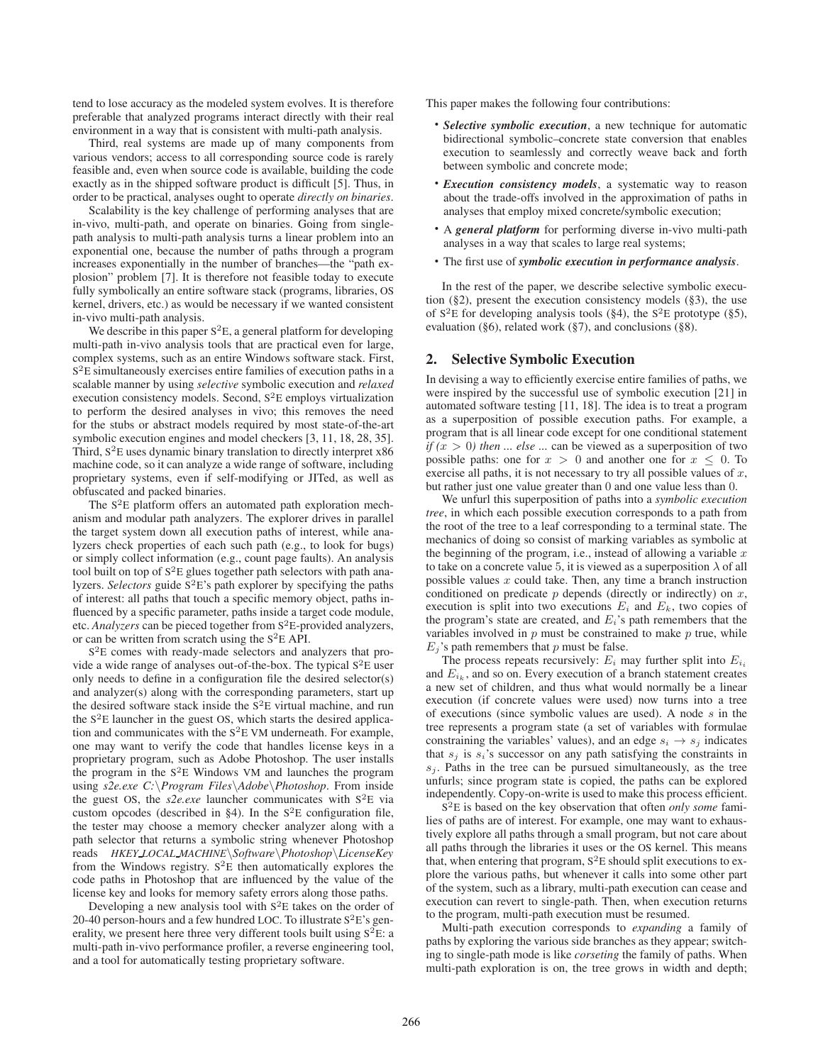tend to lose accuracy as the modeled system evolves. It is therefore preferable that analyzed programs interact directly with their real environment in a way that is consistent with multi-path analysis.

Third, real systems are made up of many components from various vendors; access to all corresponding source code is rarely feasible and, even when source code is available, building the code exactly as in the shipped software product is difficult [5]. Thus, in order to be practical, analyses ought to operate *directly on binaries*.

Scalability is the key challenge of performing analyses that are in-vivo, multi-path, and operate on binaries. Going from singlepath analysis to multi-path analysis turns a linear problem into an exponential one, because the number of paths through a program increases exponentially in the number of branches—the "path explosion" problem [7]. It is therefore not feasible today to execute fully symbolically an entire software stack (programs, libraries, OS kernel, drivers, etc.) as would be necessary if we wanted consistent in-vivo multi-path analysis.

We describe in this paper S<sup>2</sup>E, a general platform for developing multi-path in-vivo analysis tools that are practical even for large, complex systems, such as an entire Windows software stack. First, S<sup>2</sup>E simultaneously exercises entire families of execution paths in a scalable manner by using *selective* symbolic execution and *relaxed* execution consistency models. Second, S <sup>2</sup>E employs virtualization to perform the desired analyses in vivo; this removes the need for the stubs or abstract models required by most state-of-the-art symbolic execution engines and model checkers [3, 11, 18, 28, 35]. Third, S <sup>2</sup>E uses dynamic binary translation to directly interpret x86 machine code, so it can analyze a wide range of software, including proprietary systems, even if self-modifying or JITed, as well as obfuscated and packed binaries.

The S<sup>2</sup>E platform offers an automated path exploration mechanism and modular path analyzers. The explorer drives in parallel the target system down all execution paths of interest, while analyzers check properties of each such path (e.g., to look for bugs) or simply collect information (e.g., count page faults). An analysis tool built on top of S <sup>2</sup>E glues together path selectors with path analyzers. *Selectors* guide S <sup>2</sup>E's path explorer by specifying the paths of interest: all paths that touch a specific memory object, paths influenced by a specific parameter, paths inside a target code module, etc. *Analyzers* can be pieced together from S <sup>2</sup>E-provided analyzers, or can be written from scratch using the S <sup>2</sup>E API.

S <sup>2</sup>E comes with ready-made selectors and analyzers that provide a wide range of analyses out-of-the-box. The typical S <sup>2</sup>E user only needs to define in a configuration file the desired selector(s) and analyzer(s) along with the corresponding parameters, start up the desired software stack inside the  $S^2E$  virtual machine, and run the S <sup>2</sup>E launcher in the guest OS, which starts the desired application and communicates with the S <sup>2</sup>E VM underneath. For example, one may want to verify the code that handles license keys in a proprietary program, such as Adobe Photoshop. The user installs the program in the S <sup>2</sup>E Windows VM and launches the program using *s2e.exe C:*\*Program Files*\*Adobe*\*Photoshop*. From inside the guest OS, the *s2e.exe* launcher communicates with S <sup>2</sup>E via custom opcodes (described in §4). In the S <sup>2</sup>E configuration file, the tester may choose a memory checker analyzer along with a path selector that returns a symbolic string whenever Photoshop reads *HKEY LOCAL MACHINE*\*Software*\*Photoshop*\*LicenseKey* from the Windows registry. S <sup>2</sup>E then automatically explores the code paths in Photoshop that are influenced by the value of the license key and looks for memory safety errors along those paths.

Developing a new analysis tool with S <sup>2</sup>E takes on the order of 20-40 person-hours and a few hundred LOC. To illustrate S <sup>2</sup>E's generality, we present here three very different tools built using  $S^2E$ : a multi-path in-vivo performance profiler, a reverse engineering tool, and a tool for automatically testing proprietary software.

This paper makes the following four contributions:

- *Selective symbolic execution*, a new technique for automatic bidirectional symbolic–concrete state conversion that enables execution to seamlessly and correctly weave back and forth between symbolic and concrete mode;
- *Execution consistency models*, a systematic way to reason about the trade-offs involved in the approximation of paths in analyses that employ mixed concrete/symbolic execution;
- A *general platform* for performing diverse in-vivo multi-path analyses in a way that scales to large real systems;
- The first use of *symbolic execution in performance analysis*.

In the rest of the paper, we describe selective symbolic execution  $(\S 2)$ , present the execution consistency models  $(\S 3)$ , the use of S <sup>2</sup>E for developing analysis tools (§4), the S <sup>2</sup>E prototype (§5), evaluation (§6), related work (§7), and conclusions (§8).

## 2. Selective Symbolic Execution

In devising a way to efficiently exercise entire families of paths, we were inspired by the successful use of symbolic execution [21] in automated software testing [11, 18]. The idea is to treat a program as a superposition of possible execution paths. For example, a program that is all linear code except for one conditional statement *if*  $(x > 0)$  *then* ... *else* ... can be viewed as a superposition of two possible paths: one for  $x > 0$  and another one for  $x \leq 0$ . To exercise all paths, it is not necessary to try all possible values of  $x$ , but rather just one value greater than 0 and one value less than 0.

We unfurl this superposition of paths into a *symbolic execution tree*, in which each possible execution corresponds to a path from the root of the tree to a leaf corresponding to a terminal state. The mechanics of doing so consist of marking variables as symbolic at the beginning of the program, i.e., instead of allowing a variable  $x$ to take on a concrete value 5, it is viewed as a superposition  $\lambda$  of all possible values  $x$  could take. Then, any time a branch instruction conditioned on predicate  $p$  depends (directly or indirectly) on  $x$ , execution is split into two executions  $E_i$  and  $E_k$ , two copies of the program's state are created, and  $E_i$ 's path remembers that the variables involved in  $p$  must be constrained to make  $p$  true, while  $E_j$ 's path remembers that p must be false.

The process repeats recursively:  $E_i$  may further split into  $E_{i_i}$ and  $E_{i_k}$ , and so on. Every execution of a branch statement creates a new set of children, and thus what would normally be a linear execution (if concrete values were used) now turns into a tree of executions (since symbolic values are used). A node s in the tree represents a program state (a set of variables with formulae constraining the variables' values), and an edge  $s_i \rightarrow s_j$  indicates that  $s_j$  is  $s_i$ 's successor on any path satisfying the constraints in  $s_j$ . Paths in the tree can be pursued simultaneously, as the tree unfurls; since program state is copied, the paths can be explored independently. Copy-on-write is used to make this process efficient.

S <sup>2</sup>E is based on the key observation that often *only some* families of paths are of interest. For example, one may want to exhaustively explore all paths through a small program, but not care about all paths through the libraries it uses or the OS kernel. This means that, when entering that program, S <sup>2</sup>E should split executions to explore the various paths, but whenever it calls into some other part of the system, such as a library, multi-path execution can cease and execution can revert to single-path. Then, when execution returns to the program, multi-path execution must be resumed.

Multi-path execution corresponds to *expanding* a family of paths by exploring the various side branches as they appear; switching to single-path mode is like *corseting* the family of paths. When multi-path exploration is on, the tree grows in width and depth;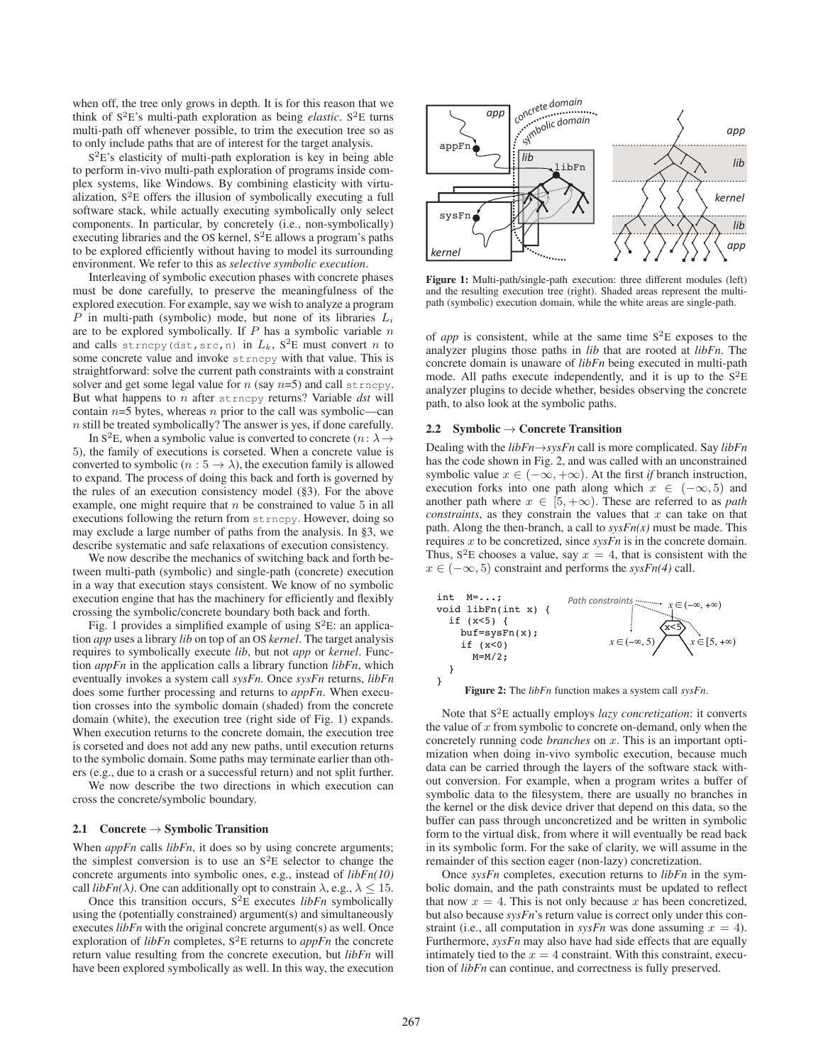when off, the tree only grows in depth. It is for this reason that we think of S <sup>2</sup>E's multi-path exploration as being *elastic*. S <sup>2</sup>E turns multi-path off whenever possible, to trim the execution tree so as to only include paths that are of interest for the target analysis.

S<sup>2</sup>E's elasticity of multi-path exploration is key in being able to perform in-vivo multi-path exploration of programs inside complex systems, like Windows. By combining elasticity with virtualization, S <sup>2</sup>E offers the illusion of symbolically executing a full software stack, while actually executing symbolically only select components. In particular, by concretely (i.e., non-symbolically) executing libraries and the OS kernel, S <sup>2</sup>E allows a program's paths to be explored efficiently without having to model its surrounding environment. We refer to this as *selective symbolic execution*.

Interleaving of symbolic execution phases with concrete phases must be done carefully, to preserve the meaningfulness of the explored execution. For example, say we wish to analyze a program P in multi-path (symbolic) mode, but none of its libraries  $L_i$ are to be explored symbolically. If  $P$  has a symbolic variable  $n$ and calls strncpy (dst, src, n) in  $L_k$ ,  $S^2E$  must convert n to some concrete value and invoke strncpy with that value. This is straightforward: solve the current path constraints with a constraint solver and get some legal value for  $n$  (say  $n=5$ ) and call strncpy. But what happens to n after strncpy returns? Variable *dst* will contain  $n=5$  bytes, whereas n prior to the call was symbolic—can n still be treated symbolically? The answer is yes, if done carefully.

In S<sup>2</sup>E, when a symbolic value is converted to concrete  $(n: \lambda \rightarrow$ 5), the family of executions is corseted. When a concrete value is converted to symbolic  $(n : 5 \rightarrow \lambda)$ , the execution family is allowed to expand. The process of doing this back and forth is governed by the rules of an execution consistency model (§3). For the above example, one might require that  $n$  be constrained to value  $5$  in all executions following the return from strncpy. However, doing so may exclude a large number of paths from the analysis. In §3, we describe systematic and safe relaxations of execution consistency.

We now describe the mechanics of switching back and forth between multi-path (symbolic) and single-path (concrete) execution in a way that execution stays consistent. We know of no symbolic execution engine that has the machinery for efficiently and flexibly crossing the symbolic/concrete boundary both back and forth.

Fig. 1 provides a simplified example of using S<sup>2</sup>E: an application *app* uses a library *lib* on top of an OS *kernel*. The target analysis requires to symbolically execute *lib*, but not *app* or *kernel*. Function *appFn* in the application calls a library function *libFn*, which eventually invokes a system call *sysFn*. Once *sysFn* returns, *libFn* does some further processing and returns to *appFn*. When execution crosses into the symbolic domain (shaded) from the concrete domain (white), the execution tree (right side of Fig. 1) expands. When execution returns to the concrete domain, the execution tree is corseted and does not add any new paths, until execution returns to the symbolic domain. Some paths may terminate earlier than others (e.g., due to a crash or a successful return) and not split further.

We now describe the two directions in which execution can cross the concrete/symbolic boundary.

#### 2.1 Concrete  $\rightarrow$  Symbolic Transition

When *appFn* calls *libFn*, it does so by using concrete arguments; the simplest conversion is to use an S <sup>2</sup>E selector to change the concrete arguments into symbolic ones, e.g., instead of *libFn(10)* call *libFn(* $\lambda$ *)*. One can additionally opt to constrain  $\lambda$ , e.g.,  $\lambda \leq 15$ .

Once this transition occurs, S <sup>2</sup>E executes *libFn* symbolically using the (potentially constrained) argument(s) and simultaneously executes *libFn* with the original concrete argument(s) as well. Once exploration of *libFn* completes, S <sup>2</sup>E returns to *appFn* the concrete return value resulting from the concrete execution, but *libFn* will have been explored symbolically as well. In this way, the execution



Figure 1: Multi-path/single-path execution: three different modules (left) and the resulting execution tree (right). Shaded areas represent the multipath (symbolic) execution domain, while the white areas are single-path.

of *app* is consistent, while at the same time S <sup>2</sup>E exposes to the analyzer plugins those paths in *lib* that are rooted at *libFn*. The concrete domain is unaware of *libFn* being executed in multi-path mode. All paths execute independently, and it is up to the  $S^2E$ analyzer plugins to decide whether, besides observing the concrete path, to also look at the symbolic paths.

#### 2.2 Symbolic  $\rightarrow$  Concrete Transition

Dealing with the *libFn*→*sysFn* call is more complicated. Say *libFn* has the code shown in Fig. 2, and was called with an unconstrained symbolic value  $x \in (-\infty, +\infty)$ . At the first *if* branch instruction, execution forks into one path along which  $x \in (-\infty, 5)$  and another path where  $x \in [5, +\infty)$ . These are referred to as *path*  $constraints$ , as they constrain the values that  $x$  can take on that path. Along the then-branch, a call to  $sysFn(x)$  must be made. This requires x to be concretized, since *sysFn* is in the concrete domain. Thus,  $S^2$ E chooses a value, say  $x = 4$ , that is consistent with the  $x \in (-\infty, 5)$  constraint and performs the *sysFn(4)* call.



Figure 2: The *libFn* function makes a system call *sysFn*.

Note that S <sup>2</sup>E actually employs *lazy concretization*: it converts the value of  $x$  from symbolic to concrete on-demand, only when the concretely running code *branches* on x. This is an important optimization when doing in-vivo symbolic execution, because much data can be carried through the layers of the software stack without conversion. For example, when a program writes a buffer of symbolic data to the filesystem, there are usually no branches in the kernel or the disk device driver that depend on this data, so the buffer can pass through unconcretized and be written in symbolic form to the virtual disk, from where it will eventually be read back in its symbolic form. For the sake of clarity, we will assume in the remainder of this section eager (non-lazy) concretization.

Once *sysFn* completes, execution returns to *libFn* in the symbolic domain, and the path constraints must be updated to reflect that now  $x = 4$ . This is not only because x has been concretized, but also because *sysFn*'s return value is correct only under this constraint (i.e., all computation in *sysFn* was done assuming  $x = 4$ ). Furthermore, *sysFn* may also have had side effects that are equally intimately tied to the  $x = 4$  constraint. With this constraint, execution of *libFn* can continue, and correctness is fully preserved.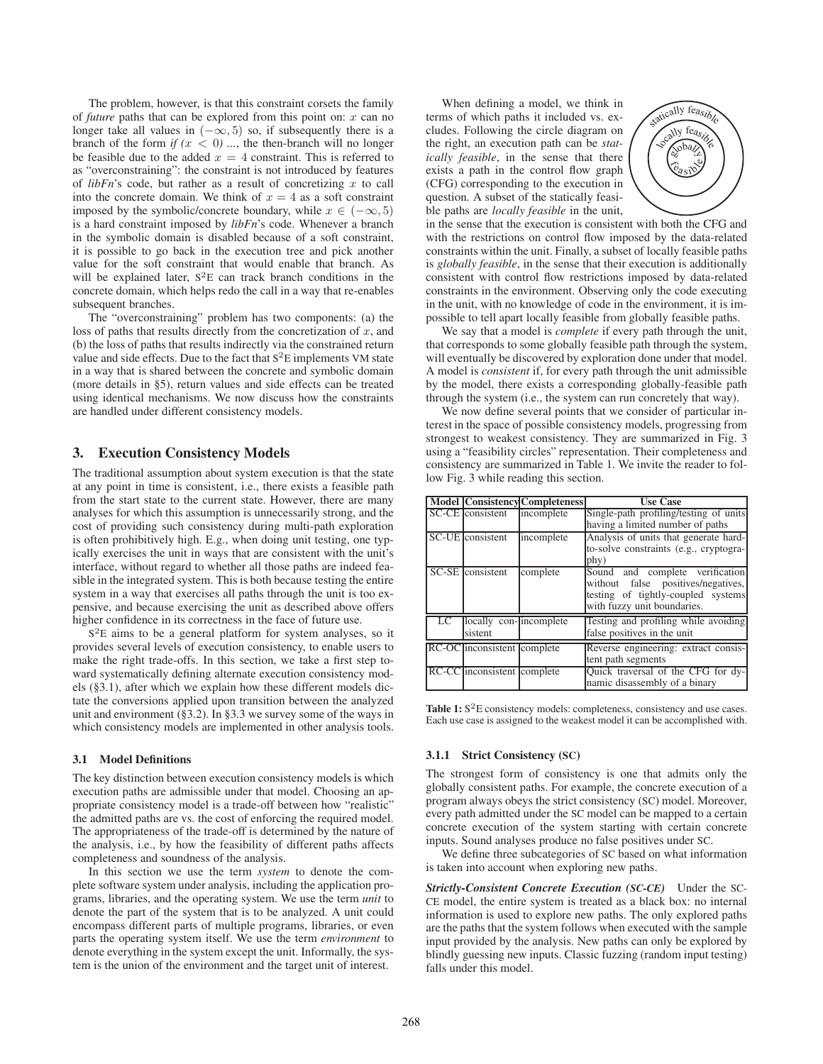The problem, however, is that this constraint corsets the family of *future* paths that can be explored from this point on: x can no longer take all values in  $(-\infty, 5)$  so, if subsequently there is a branch of the form  $if (x < 0)$  ..., the then-branch will no longer be feasible due to the added  $x = 4$  constraint. This is referred to as "overconstraining": the constraint is not introduced by features of  $libFn$ 's code, but rather as a result of concretizing  $x$  to call into the concrete domain. We think of  $x = 4$  as a soft constraint imposed by the symbolic/concrete boundary, while  $x \in (-\infty, 5)$ is a hard constraint imposed by *libFn*'s code. Whenever a branch in the symbolic domain is disabled because of a soft constraint, it is possible to go back in the execution tree and pick another value for the soft constraint that would enable that branch. As will be explained later, S <sup>2</sup>E can track branch conditions in the concrete domain, which helps redo the call in a way that re-enables subsequent branches.

The "overconstraining" problem has two components: (a) the loss of paths that results directly from the concretization of  $x$ , and (b) the loss of paths that results indirectly via the constrained return value and side effects. Due to the fact that S <sup>2</sup>E implements VM state in a way that is shared between the concrete and symbolic domain (more details in §5), return values and side effects can be treated using identical mechanisms. We now discuss how the constraints are handled under different consistency models.

# 3. Execution Consistency Models

The traditional assumption about system execution is that the state at any point in time is consistent, i.e., there exists a feasible path from the start state to the current state. However, there are many analyses for which this assumption is unnecessarily strong, and the cost of providing such consistency during multi-path exploration is often prohibitively high. E.g., when doing unit testing, one typically exercises the unit in ways that are consistent with the unit's interface, without regard to whether all those paths are indeed feasible in the integrated system. This is both because testing the entire system in a way that exercises all paths through the unit is too expensive, and because exercising the unit as described above offers higher confidence in its correctness in the face of future use.

S<sup>2</sup>E aims to be a general platform for system analyses, so it provides several levels of execution consistency, to enable users to make the right trade-offs. In this section, we take a first step toward systematically defining alternate execution consistency models (§3.1), after which we explain how these different models dictate the conversions applied upon transition between the analyzed unit and environment (§3.2). In §3.3 we survey some of the ways in which consistency models are implemented in other analysis tools.

## 3.1 Model Definitions

The key distinction between execution consistency models is which execution paths are admissible under that model. Choosing an appropriate consistency model is a trade-off between how "realistic" the admitted paths are vs. the cost of enforcing the required model. The appropriateness of the trade-off is determined by the nature of the analysis, i.e., by how the feasibility of different paths affects completeness and soundness of the analysis.

In this section we use the term *system* to denote the complete software system under analysis, including the application programs, libraries, and the operating system. We use the term *unit* to denote the part of the system that is to be analyzed. A unit could encompass different parts of multiple programs, libraries, or even parts the operating system itself. We use the term *environment* to denote everything in the system except the unit. Informally, the system is the union of the environment and the target unit of interest.

When defining a model, we think in terms of which paths it included vs. excludes. Following the circle diagram on the right, an execution path can be *statically feasible*, in the sense that there exists a path in the control flow graph (CFG) corresponding to the execution in question. A subset of the statically feasible paths are *locally feasible* in the unit,



in the sense that the execution is consistent with both the CFG and with the restrictions on control flow imposed by the data-related constraints within the unit. Finally, a subset of locally feasible paths is *globally feasible*, in the sense that their execution is additionally consistent with control flow restrictions imposed by data-related constraints in the environment. Observing only the code executing in the unit, with no knowledge of code in the environment, it is impossible to tell apart locally feasible from globally feasible paths.

We say that a model is *complete* if every path through the unit, that corresponds to some globally feasible path through the system, will eventually be discovered by exploration done under that model. A model is *consistent* if, for every path through the unit admissible by the model, there exists a corresponding globally-feasible path through the system (i.e., the system can run concretely that way).

We now define several points that we consider of particular interest in the space of possible consistency models, progressing from strongest to weakest consistency. They are summarized in Fig. 3 using a "feasibility circles" representation. Their completeness and consistency are summarized in Table 1. We invite the reader to follow Fig. 3 while reading this section.

|    |                                    | <b>Model Consistency Completeness</b> | <b>Use Case</b>                                                                                                                            |
|----|------------------------------------|---------------------------------------|--------------------------------------------------------------------------------------------------------------------------------------------|
|    | SC-CE consistent                   | incomplete                            | Single-path profiling/testing of units                                                                                                     |
|    |                                    |                                       | having a limited number of paths                                                                                                           |
|    | SC-UE consistent                   | incomplete                            | Analysis of units that generate hard-                                                                                                      |
|    |                                    |                                       | to-solve constraints (e.g., cryptogra-<br>phy)                                                                                             |
|    | SC-SE consistent                   | complete                              | Sound and complete verification<br>without false positives/negatives,<br>testing of tightly-coupled systems<br>with fuzzy unit boundaries. |
| LC | locally con-lincomplete<br>sistent |                                       | Testing and profiling while avoiding<br>false positives in the unit                                                                        |
|    | RC-OC inconsistent complete        |                                       | Reverse engineering: extract consis-<br>tent path segments                                                                                 |
|    | RC-CC inconsistent complete        |                                       | Quick traversal of the CFG for dy-<br>namic disassembly of a binary                                                                        |

Table 1:  $S^2E$  consistency models: completeness, consistency and use cases. Each use case is assigned to the weakest model it can be accomplished with.

# 3.1.1 Strict Consistency (SC)

The strongest form of consistency is one that admits only the globally consistent paths. For example, the concrete execution of a program always obeys the strict consistency (SC) model. Moreover, every path admitted under the SC model can be mapped to a certain concrete execution of the system starting with certain concrete inputs. Sound analyses produce no false positives under SC.

We define three subcategories of SC based on what information is taken into account when exploring new paths.

*Strictly-Consistent Concrete Execution (SC-CE)* Under the SC-CE model, the entire system is treated as a black box: no internal information is used to explore new paths. The only explored paths are the paths that the system follows when executed with the sample input provided by the analysis. New paths can only be explored by blindly guessing new inputs. Classic fuzzing (random input testing) falls under this model.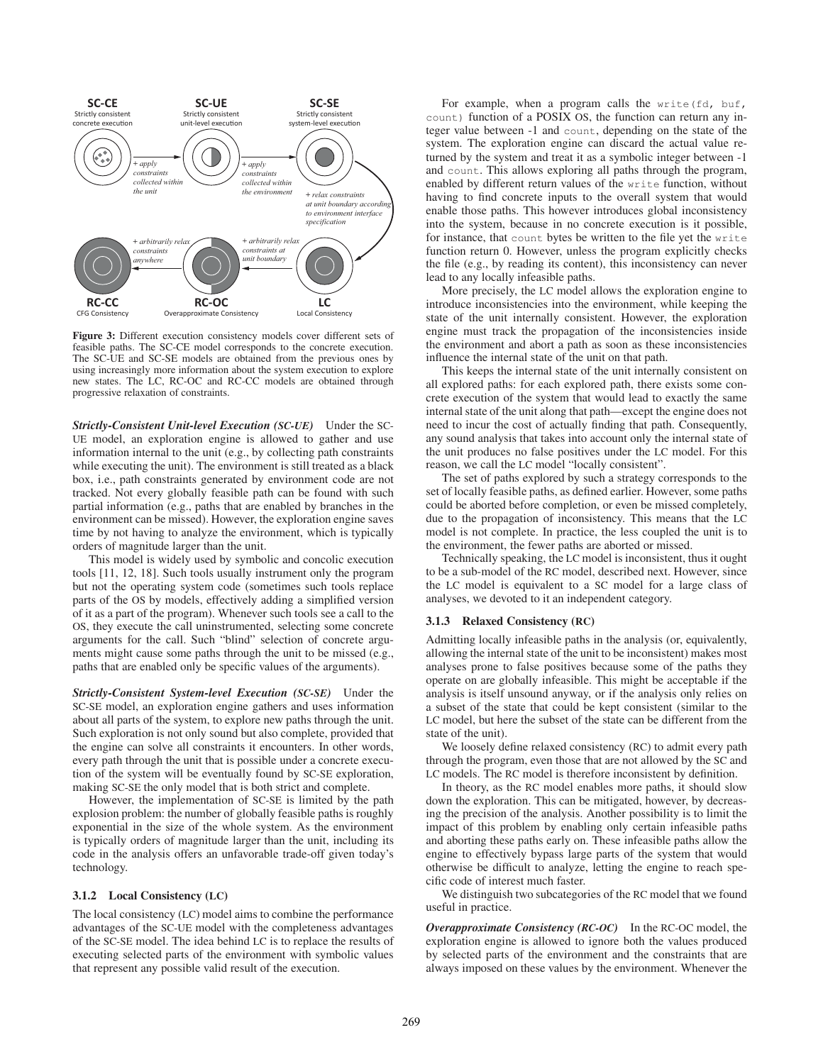

Figure 3: Different execution consistency models cover different sets of feasible paths. The SC-CE model corresponds to the concrete execution. The SC-UE and SC-SE models are obtained from the previous ones by using increasingly more information about the system execution to explore new states. The LC, RC-OC and RC-CC models are obtained through progressive relaxation of constraints.

*Strictly-Consistent Unit-level Execution (SC-UE)* Under the SC-UE model, an exploration engine is allowed to gather and use information internal to the unit (e.g., by collecting path constraints while executing the unit). The environment is still treated as a black box, i.e., path constraints generated by environment code are not tracked. Not every globally feasible path can be found with such partial information (e.g., paths that are enabled by branches in the environment can be missed). However, the exploration engine saves time by not having to analyze the environment, which is typically orders of magnitude larger than the unit.

This model is widely used by symbolic and concolic execution tools [11, 12, 18]. Such tools usually instrument only the program but not the operating system code (sometimes such tools replace parts of the OS by models, effectively adding a simplified version of it as a part of the program). Whenever such tools see a call to the OS, they execute the call uninstrumented, selecting some concrete arguments for the call. Such "blind" selection of concrete arguments might cause some paths through the unit to be missed (e.g., paths that are enabled only be specific values of the arguments).

*Strictly-Consistent System-level Execution (SC-SE)* Under the SC-SE model, an exploration engine gathers and uses information about all parts of the system, to explore new paths through the unit. Such exploration is not only sound but also complete, provided that the engine can solve all constraints it encounters. In other words, every path through the unit that is possible under a concrete execution of the system will be eventually found by SC-SE exploration, making SC-SE the only model that is both strict and complete.

However, the implementation of SC-SE is limited by the path explosion problem: the number of globally feasible paths is roughly exponential in the size of the whole system. As the environment is typically orders of magnitude larger than the unit, including its code in the analysis offers an unfavorable trade-off given today's technology.

#### 3.1.2 Local Consistency (LC)

The local consistency (LC) model aims to combine the performance advantages of the SC-UE model with the completeness advantages of the SC-SE model. The idea behind LC is to replace the results of executing selected parts of the environment with symbolic values that represent any possible valid result of the execution.

For example, when a program calls the write(fd, buf, count) function of a POSIX OS, the function can return any integer value between -1 and count, depending on the state of the system. The exploration engine can discard the actual value returned by the system and treat it as a symbolic integer between -1 and count. This allows exploring all paths through the program, enabled by different return values of the write function, without having to find concrete inputs to the overall system that would enable those paths. This however introduces global inconsistency into the system, because in no concrete execution is it possible, for instance, that count bytes be written to the file yet the write function return 0. However, unless the program explicitly checks the file (e.g., by reading its content), this inconsistency can never lead to any locally infeasible paths.

More precisely, the LC model allows the exploration engine to introduce inconsistencies into the environment, while keeping the state of the unit internally consistent. However, the exploration engine must track the propagation of the inconsistencies inside the environment and abort a path as soon as these inconsistencies influence the internal state of the unit on that path.

This keeps the internal state of the unit internally consistent on all explored paths: for each explored path, there exists some concrete execution of the system that would lead to exactly the same internal state of the unit along that path—except the engine does not need to incur the cost of actually finding that path. Consequently, any sound analysis that takes into account only the internal state of the unit produces no false positives under the LC model. For this reason, we call the LC model "locally consistent".

The set of paths explored by such a strategy corresponds to the set of locally feasible paths, as defined earlier. However, some paths could be aborted before completion, or even be missed completely, due to the propagation of inconsistency. This means that the LC model is not complete. In practice, the less coupled the unit is to the environment, the fewer paths are aborted or missed.

Technically speaking, the LC model is inconsistent, thus it ought to be a sub-model of the RC model, described next. However, since the LC model is equivalent to a SC model for a large class of analyses, we devoted to it an independent category.

### 3.1.3 Relaxed Consistency (RC)

Admitting locally infeasible paths in the analysis (or, equivalently, allowing the internal state of the unit to be inconsistent) makes most analyses prone to false positives because some of the paths they operate on are globally infeasible. This might be acceptable if the analysis is itself unsound anyway, or if the analysis only relies on a subset of the state that could be kept consistent (similar to the LC model, but here the subset of the state can be different from the state of the unit).

We loosely define relaxed consistency (RC) to admit every path through the program, even those that are not allowed by the SC and LC models. The RC model is therefore inconsistent by definition.

In theory, as the RC model enables more paths, it should slow down the exploration. This can be mitigated, however, by decreasing the precision of the analysis. Another possibility is to limit the impact of this problem by enabling only certain infeasible paths and aborting these paths early on. These infeasible paths allow the engine to effectively bypass large parts of the system that would otherwise be difficult to analyze, letting the engine to reach specific code of interest much faster.

We distinguish two subcategories of the RC model that we found useful in practice.

*Overapproximate Consistency (RC-OC)* In the RC-OC model, the exploration engine is allowed to ignore both the values produced by selected parts of the environment and the constraints that are always imposed on these values by the environment. Whenever the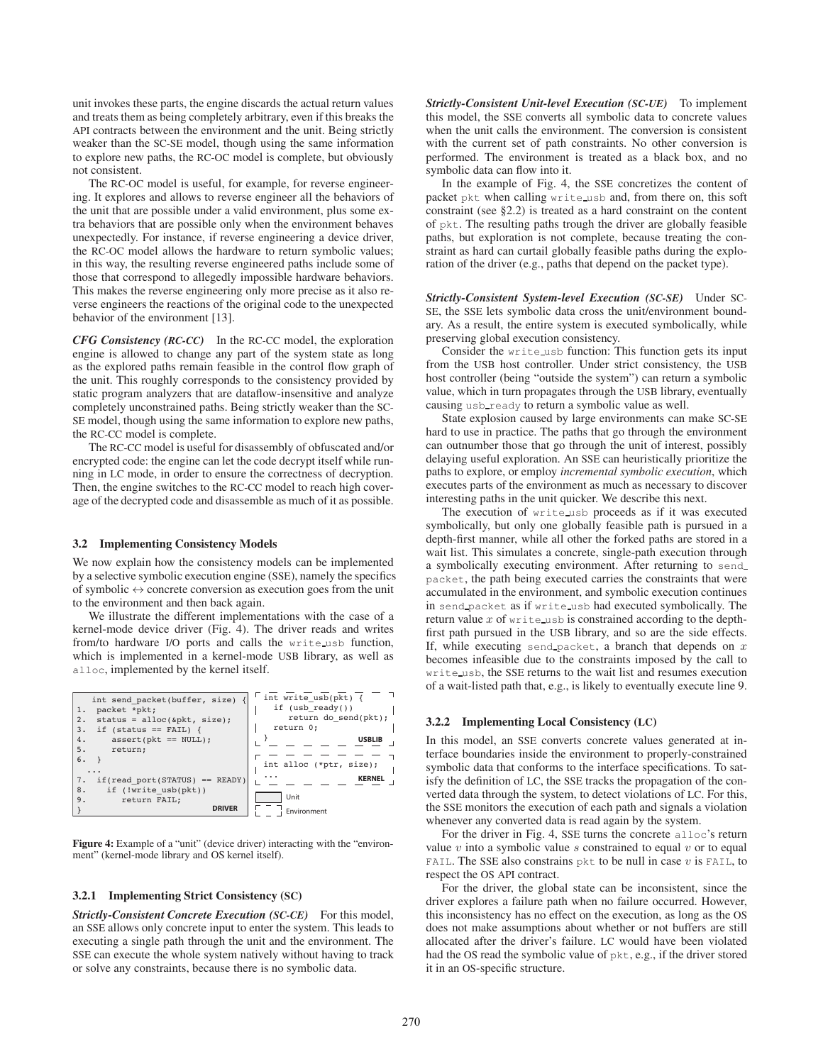unit invokes these parts, the engine discards the actual return values and treats them as being completely arbitrary, even if this breaks the API contracts between the environment and the unit. Being strictly weaker than the SC-SE model, though using the same information to explore new paths, the RC-OC model is complete, but obviously not consistent.

The RC-OC model is useful, for example, for reverse engineering. It explores and allows to reverse engineer all the behaviors of the unit that are possible under a valid environment, plus some extra behaviors that are possible only when the environment behaves unexpectedly. For instance, if reverse engineering a device driver, the RC-OC model allows the hardware to return symbolic values; in this way, the resulting reverse engineered paths include some of those that correspond to allegedly impossible hardware behaviors. This makes the reverse engineering only more precise as it also reverse engineers the reactions of the original code to the unexpected behavior of the environment [13].

*CFG Consistency (RC-CC)* In the RC-CC model, the exploration engine is allowed to change any part of the system state as long as the explored paths remain feasible in the control flow graph of the unit. This roughly corresponds to the consistency provided by static program analyzers that are dataflow-insensitive and analyze completely unconstrained paths. Being strictly weaker than the SC-SE model, though using the same information to explore new paths, the RC-CC model is complete.

The RC-CC model is useful for disassembly of obfuscated and/or encrypted code: the engine can let the code decrypt itself while running in LC mode, in order to ensure the correctness of decryption. Then, the engine switches to the RC-CC model to reach high coverage of the decrypted code and disassemble as much of it as possible.

#### 3.2 Implementing Consistency Models

We now explain how the consistency models can be implemented by a selective symbolic execution engine (SSE), namely the specifics of symbolic  $\leftrightarrow$  concrete conversion as execution goes from the unit to the environment and then back again.

We illustrate the different implementations with the case of a kernel-mode device driver (Fig. 4). The driver reads and writes from/to hardware I/O ports and calls the write usb function, which is implemented in a kernel-mode USB library, as well as alloc, implemented by the kernel itself.



Figure 4: Example of a "unit" (device driver) interacting with the "environment" (kernel-mode library and OS kernel itself).

#### 3.2.1 Implementing Strict Consistency (SC)

*Strictly-Consistent Concrete Execution (SC-CE)* For this model, an SSE allows only concrete input to enter the system. This leads to executing a single path through the unit and the environment. The SSE can execute the whole system natively without having to track or solve any constraints, because there is no symbolic data.

*Strictly-Consistent Unit-level Execution (SC-UE)* To implement this model, the SSE converts all symbolic data to concrete values when the unit calls the environment. The conversion is consistent with the current set of path constraints. No other conversion is performed. The environment is treated as a black box, and no symbolic data can flow into it.

In the example of Fig. 4, the SSE concretizes the content of packet pkt when calling write usb and, from there on, this soft constraint (see §2.2) is treated as a hard constraint on the content of pkt. The resulting paths trough the driver are globally feasible paths, but exploration is not complete, because treating the constraint as hard can curtail globally feasible paths during the exploration of the driver (e.g., paths that depend on the packet type).

*Strictly-Consistent System-level Execution (SC-SE)* Under SC-SE, the SSE lets symbolic data cross the unit/environment boundary. As a result, the entire system is executed symbolically, while preserving global execution consistency.

Consider the write usb function: This function gets its input from the USB host controller. Under strict consistency, the USB host controller (being "outside the system") can return a symbolic value, which in turn propagates through the USB library, eventually causing usb ready to return a symbolic value as well.

State explosion caused by large environments can make SC-SE hard to use in practice. The paths that go through the environment can outnumber those that go through the unit of interest, possibly delaying useful exploration. An SSE can heuristically prioritize the paths to explore, or employ *incremental symbolic execution*, which executes parts of the environment as much as necessary to discover interesting paths in the unit quicker. We describe this next.

The execution of write usb proceeds as if it was executed symbolically, but only one globally feasible path is pursued in a depth-first manner, while all other the forked paths are stored in a wait list. This simulates a concrete, single-path execution through a symbolically executing environment. After returning to send packet, the path being executed carries the constraints that were accumulated in the environment, and symbolic execution continues in send packet as if write usb had executed symbolically. The return value  $x$  of write usb is constrained according to the depthfirst path pursued in the USB library, and so are the side effects. If, while executing send-packet, a branch that depends on  $x$ becomes infeasible due to the constraints imposed by the call to write usb, the SSE returns to the wait list and resumes execution of a wait-listed path that, e.g., is likely to eventually execute line 9.

## 3.2.2 Implementing Local Consistency (LC)

In this model, an SSE converts concrete values generated at interface boundaries inside the environment to properly-constrained symbolic data that conforms to the interface specifications. To satisfy the definition of LC, the SSE tracks the propagation of the converted data through the system, to detect violations of LC. For this, the SSE monitors the execution of each path and signals a violation whenever any converted data is read again by the system.

For the driver in Fig. 4, SSE turns the concrete alloc's return value  $v$  into a symbolic value  $s$  constrained to equal  $v$  or to equal FAIL. The SSE also constrains  $\beta$ kt to be null in case v is FAIL, to respect the OS API contract.

For the driver, the global state can be inconsistent, since the driver explores a failure path when no failure occurred. However, this inconsistency has no effect on the execution, as long as the OS does not make assumptions about whether or not buffers are still allocated after the driver's failure. LC would have been violated had the OS read the symbolic value of pkt, e.g., if the driver stored it in an OS-specific structure.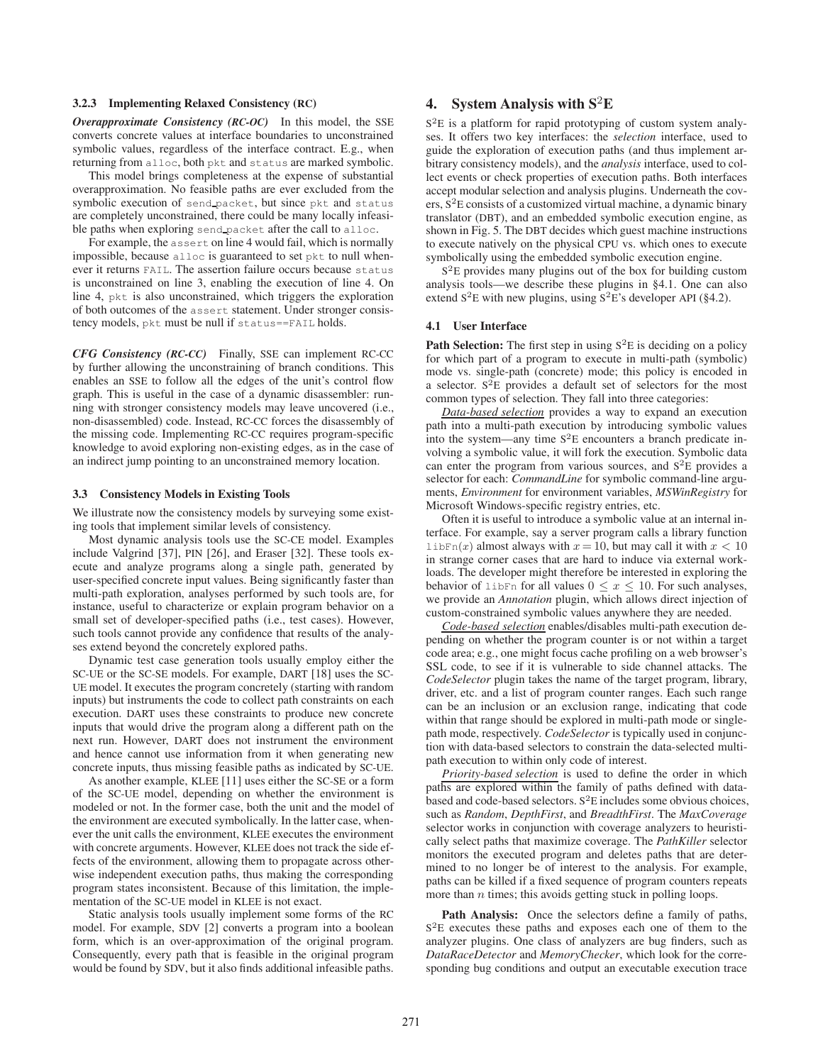#### 3.2.3 Implementing Relaxed Consistency (RC)

*Overapproximate Consistency (RC-OC)* In this model, the SSE converts concrete values at interface boundaries to unconstrained symbolic values, regardless of the interface contract. E.g., when returning from alloc, both pkt and status are marked symbolic.

This model brings completeness at the expense of substantial overapproximation. No feasible paths are ever excluded from the symbolic execution of send packet, but since pkt and status are completely unconstrained, there could be many locally infeasible paths when exploring send packet after the call to alloc.

For example, the assert on line 4 would fail, which is normally impossible, because alloc is guaranteed to set pkt to null whenever it returns FAIL. The assertion failure occurs because status is unconstrained on line 3, enabling the execution of line 4. On line 4, pkt is also unconstrained, which triggers the exploration of both outcomes of the assert statement. Under stronger consistency models, pkt must be null if status==FAIL holds.

*CFG Consistency (RC-CC)* Finally, SSE can implement RC-CC by further allowing the unconstraining of branch conditions. This enables an SSE to follow all the edges of the unit's control flow graph. This is useful in the case of a dynamic disassembler: running with stronger consistency models may leave uncovered (i.e., non-disassembled) code. Instead, RC-CC forces the disassembly of the missing code. Implementing RC-CC requires program-specific knowledge to avoid exploring non-existing edges, as in the case of an indirect jump pointing to an unconstrained memory location.

#### 3.3 Consistency Models in Existing Tools

We illustrate now the consistency models by surveying some existing tools that implement similar levels of consistency.

Most dynamic analysis tools use the SC-CE model. Examples include Valgrind [37], PIN [26], and Eraser [32]. These tools execute and analyze programs along a single path, generated by user-specified concrete input values. Being significantly faster than multi-path exploration, analyses performed by such tools are, for instance, useful to characterize or explain program behavior on a small set of developer-specified paths (i.e., test cases). However, such tools cannot provide any confidence that results of the analyses extend beyond the concretely explored paths.

Dynamic test case generation tools usually employ either the SC-UE or the SC-SE models. For example, DART [18] uses the SC-UE model. It executes the program concretely (starting with random inputs) but instruments the code to collect path constraints on each execution. DART uses these constraints to produce new concrete inputs that would drive the program along a different path on the next run. However, DART does not instrument the environment and hence cannot use information from it when generating new concrete inputs, thus missing feasible paths as indicated by SC-UE.

As another example, KLEE [11] uses either the SC-SE or a form of the SC-UE model, depending on whether the environment is modeled or not. In the former case, both the unit and the model of the environment are executed symbolically. In the latter case, whenever the unit calls the environment, KLEE executes the environment with concrete arguments. However, KLEE does not track the side effects of the environment, allowing them to propagate across otherwise independent execution paths, thus making the corresponding program states inconsistent. Because of this limitation, the implementation of the SC-UE model in KLEE is not exact.

Static analysis tools usually implement some forms of the RC model. For example, SDV [2] converts a program into a boolean form, which is an over-approximation of the original program. Consequently, every path that is feasible in the original program would be found by SDV, but it also finds additional infeasible paths.

# 4. System Analysis with  $S^2E$

S <sup>2</sup>E is a platform for rapid prototyping of custom system analyses. It offers two key interfaces: the *selection* interface, used to guide the exploration of execution paths (and thus implement arbitrary consistency models), and the *analysis* interface, used to collect events or check properties of execution paths. Both interfaces accept modular selection and analysis plugins. Underneath the covers,  $\hat{S}^2$ E consists of a customized virtual machine, a dynamic binary translator (DBT), and an embedded symbolic execution engine, as shown in Fig. 5. The DBT decides which guest machine instructions to execute natively on the physical CPU vs. which ones to execute symbolically using the embedded symbolic execution engine.

S<sup>2</sup>E provides many plugins out of the box for building custom analysis tools—we describe these plugins in §4.1. One can also extend  $S^2E$  with new plugins, using  $S^2E$ 's developer API (§4.2).

#### 4.1 User Interface

Path Selection: The first step in using  $S^2E$  is deciding on a policy for which part of a program to execute in multi-path (symbolic) mode vs. single-path (concrete) mode; this policy is encoded in a selector. S <sup>2</sup>E provides a default set of selectors for the most common types of selection. They fall into three categories:

*Data-based selection* provides a way to expand an execution path into a multi-path execution by introducing symbolic values into the system—any time S <sup>2</sup>E encounters a branch predicate involving a symbolic value, it will fork the execution. Symbolic data can enter the program from various sources, and S<sup>2</sup>E provides a selector for each: *CommandLine* for symbolic command-line arguments, *Environment* for environment variables, *MSWinRegistry* for Microsoft Windows-specific registry entries, etc.

Often it is useful to introduce a symbolic value at an internal interface. For example, say a server program calls a library function libFn(x) almost always with  $x = 10$ , but may call it with  $x < 10$ in strange corner cases that are hard to induce via external workloads. The developer might therefore be interested in exploring the behavior of lib<sub>Fn</sub> for all values  $0 \leq x \leq 10$ . For such analyses, we provide an *Annotation* plugin, which allows direct injection of custom-constrained symbolic values anywhere they are needed.

*Code-based selection* enables/disables multi-path execution depending on whether the program counter is or not within a target code area; e.g., one might focus cache profiling on a web browser's SSL code, to see if it is vulnerable to side channel attacks. The *CodeSelector* plugin takes the name of the target program, library, driver, etc. and a list of program counter ranges. Each such range can be an inclusion or an exclusion range, indicating that code within that range should be explored in multi-path mode or singlepath mode, respectively. *CodeSelector* is typically used in conjunction with data-based selectors to constrain the data-selected multipath execution to within only code of interest.

*Priority-based selection* is used to define the order in which paths are explored within the family of paths defined with databased and code-based selectors. S <sup>2</sup>E includes some obvious choices, such as *Random*, *DepthFirst*, and *BreadthFirst*. The *MaxCoverage* selector works in conjunction with coverage analyzers to heuristically select paths that maximize coverage. The *PathKiller* selector monitors the executed program and deletes paths that are determined to no longer be of interest to the analysis. For example, paths can be killed if a fixed sequence of program counters repeats more than  $n$  times; this avoids getting stuck in polling loops.

Path Analysis: Once the selectors define a family of paths, S<sup>2</sup>E executes these paths and exposes each one of them to the analyzer plugins. One class of analyzers are bug finders, such as *DataRaceDetector* and *MemoryChecker*, which look for the corresponding bug conditions and output an executable execution trace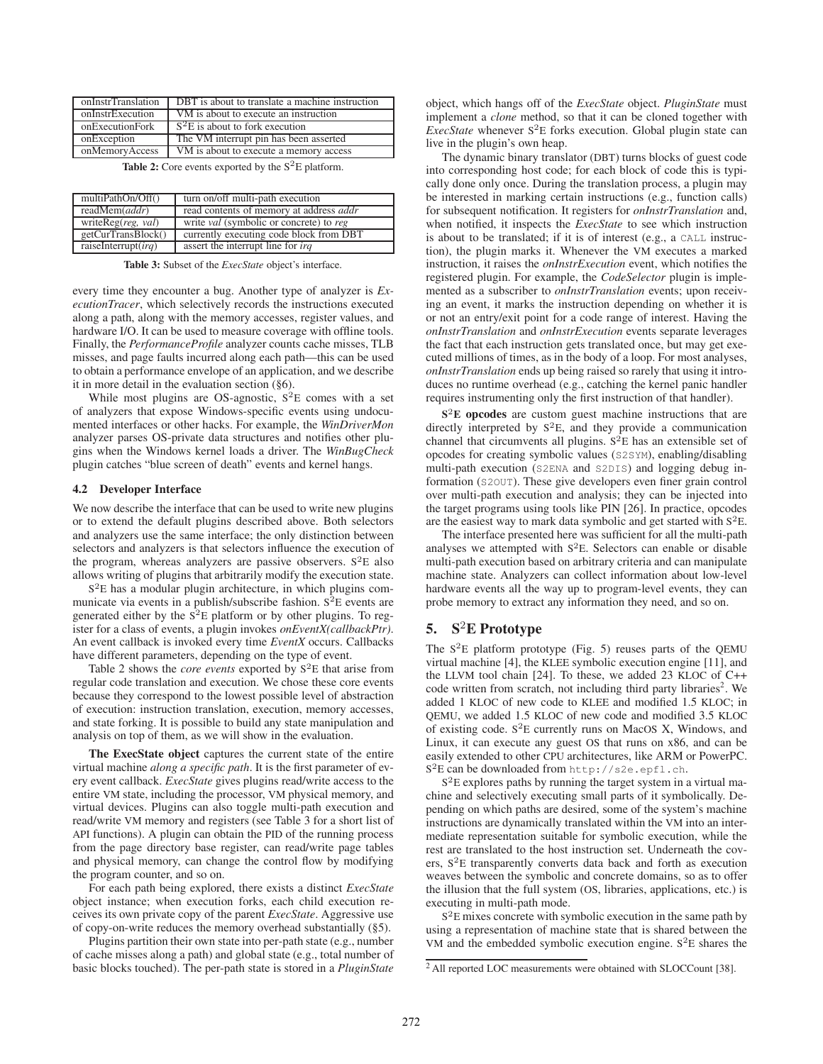| onInstrTranslation | DBT is about to translate a machine instruction |
|--------------------|-------------------------------------------------|
| onInstrExecution   | VM is about to execute an instruction           |
| onExecutionFork    | $S2E$ is about to fork execution                |
| onException        | The VM interrupt pin has been asserted          |
| onMemoryAccess     | VM is about to execute a memory access          |

**Table 2:** Core events exported by the  $S^2E$  platform.

| multiPathOn/Off()         | turn on/off multi-path execution               |
|---------------------------|------------------------------------------------|
| readMem( <i>addr</i> )    | read contents of memory at address <i>addr</i> |
| writeReg( $reg$ , $val$ ) | write <i>val</i> (symbolic or concrete) to reg |
| getCurTransBlock()        | currently executing code block from DBT        |
| raiseInterrupt $(irq)$    | assert the interrupt line for <i>irg</i>       |

Table 3: Subset of the *ExecState* object's interface.

every time they encounter a bug. Another type of analyzer is *ExecutionTracer*, which selectively records the instructions executed along a path, along with the memory accesses, register values, and hardware I/O. It can be used to measure coverage with offline tools. Finally, the *PerformanceProfile* analyzer counts cache misses, TLB misses, and page faults incurred along each path—this can be used to obtain a performance envelope of an application, and we describe it in more detail in the evaluation section (§6).

While most plugins are OS-agnostic, S <sup>2</sup>E comes with a set of analyzers that expose Windows-specific events using undocumented interfaces or other hacks. For example, the *WinDriverMon* analyzer parses OS-private data structures and notifies other plugins when the Windows kernel loads a driver. The *WinBugCheck* plugin catches "blue screen of death" events and kernel hangs.

#### 4.2 Developer Interface

We now describe the interface that can be used to write new plugins or to extend the default plugins described above. Both selectors and analyzers use the same interface; the only distinction between selectors and analyzers is that selectors influence the execution of the program, whereas analyzers are passive observers. S <sup>2</sup>E also allows writing of plugins that arbitrarily modify the execution state.

S <sup>2</sup>E has a modular plugin architecture, in which plugins communicate via events in a publish/subscribe fashion. S<sup>2</sup>E events are generated either by the  $S^2E$  platform or by other plugins. To register for a class of events, a plugin invokes *onEventX(callbackPtr)*. An event callback is invoked every time *EventX* occurs. Callbacks have different parameters, depending on the type of event.

Table 2 shows the *core events* exported by S<sup>2</sup>E that arise from regular code translation and execution. We chose these core events because they correspond to the lowest possible level of abstraction of execution: instruction translation, execution, memory accesses, and state forking. It is possible to build any state manipulation and analysis on top of them, as we will show in the evaluation.

The ExecState object captures the current state of the entire virtual machine *along a specific path*. It is the first parameter of every event callback. *ExecState* gives plugins read/write access to the entire VM state, including the processor, VM physical memory, and virtual devices. Plugins can also toggle multi-path execution and read/write VM memory and registers (see Table 3 for a short list of API functions). A plugin can obtain the PID of the running process from the page directory base register, can read/write page tables and physical memory, can change the control flow by modifying the program counter, and so on.

For each path being explored, there exists a distinct *ExecState* object instance; when execution forks, each child execution receives its own private copy of the parent *ExecState*. Aggressive use of copy-on-write reduces the memory overhead substantially (§5).

Plugins partition their own state into per-path state (e.g., number of cache misses along a path) and global state (e.g., total number of basic blocks touched). The per-path state is stored in a *PluginState* object, which hangs off of the *ExecState* object. *PluginState* must implement a *clone* method, so that it can be cloned together with *ExecState* whenever S <sup>2</sup>E forks execution. Global plugin state can live in the plugin's own heap.

The dynamic binary translator (DBT) turns blocks of guest code into corresponding host code; for each block of code this is typically done only once. During the translation process, a plugin may be interested in marking certain instructions (e.g., function calls) for subsequent notification. It registers for *onInstrTranslation* and, when notified, it inspects the *ExecState* to see which instruction is about to be translated; if it is of interest (e.g., a CALL instruction), the plugin marks it. Whenever the VM executes a marked instruction, it raises the *onInstrExecution* event, which notifies the registered plugin. For example, the *CodeSelector* plugin is implemented as a subscriber to *onInstrTranslation* events; upon receiving an event, it marks the instruction depending on whether it is or not an entry/exit point for a code range of interest. Having the *onInstrTranslation* and *onInstrExecution* events separate leverages the fact that each instruction gets translated once, but may get executed millions of times, as in the body of a loop. For most analyses, *onInstrTranslation* ends up being raised so rarely that using it introduces no runtime overhead (e.g., catching the kernel panic handler requires instrumenting only the first instruction of that handler).

S<sup>2</sup>E opcodes are custom guest machine instructions that are directly interpreted by S <sup>2</sup>E, and they provide a communication channel that circumvents all plugins.  $S^2E$  has an extensible set of opcodes for creating symbolic values (S2SYM), enabling/disabling multi-path execution (S2ENA and S2DIS) and logging debug information (S2OUT). These give developers even finer grain control over multi-path execution and analysis; they can be injected into the target programs using tools like PIN [26]. In practice, opcodes are the easiest way to mark data symbolic and get started with S <sup>2</sup>E.

The interface presented here was sufficient for all the multi-path analyses we attempted with S <sup>2</sup>E. Selectors can enable or disable multi-path execution based on arbitrary criteria and can manipulate machine state. Analyzers can collect information about low-level hardware events all the way up to program-level events, they can probe memory to extract any information they need, and so on.

# 5.  $S^2E$  Prototype

The S <sup>2</sup>E platform prototype (Fig. 5) reuses parts of the QEMU virtual machine [4], the KLEE symbolic execution engine [11], and the LLVM tool chain [24]. To these, we added 23 KLOC of C++ code written from scratch, not including third party libraries<sup>2</sup>. We added 1 KLOC of new code to KLEE and modified 1.5 KLOC; in QEMU, we added 1.5 KLOC of new code and modified 3.5 KLOC of existing code. S <sup>2</sup>E currently runs on MacOS X, Windows, and Linux, it can execute any guest OS that runs on x86, and can be easily extended to other CPU architectures, like ARM or PowerPC. S <sup>2</sup>E can be downloaded from http://s2e.epfl.ch.

S <sup>2</sup>E explores paths by running the target system in a virtual machine and selectively executing small parts of it symbolically. Depending on which paths are desired, some of the system's machine instructions are dynamically translated within the VM into an intermediate representation suitable for symbolic execution, while the rest are translated to the host instruction set. Underneath the covers, S <sup>2</sup>E transparently converts data back and forth as execution weaves between the symbolic and concrete domains, so as to offer the illusion that the full system (OS, libraries, applications, etc.) is executing in multi-path mode.

S <sup>2</sup>E mixes concrete with symbolic execution in the same path by using a representation of machine state that is shared between the VM and the embedded symbolic execution engine. S <sup>2</sup>E shares the

<sup>2</sup> All reported LOC measurements were obtained with SLOCCount [38].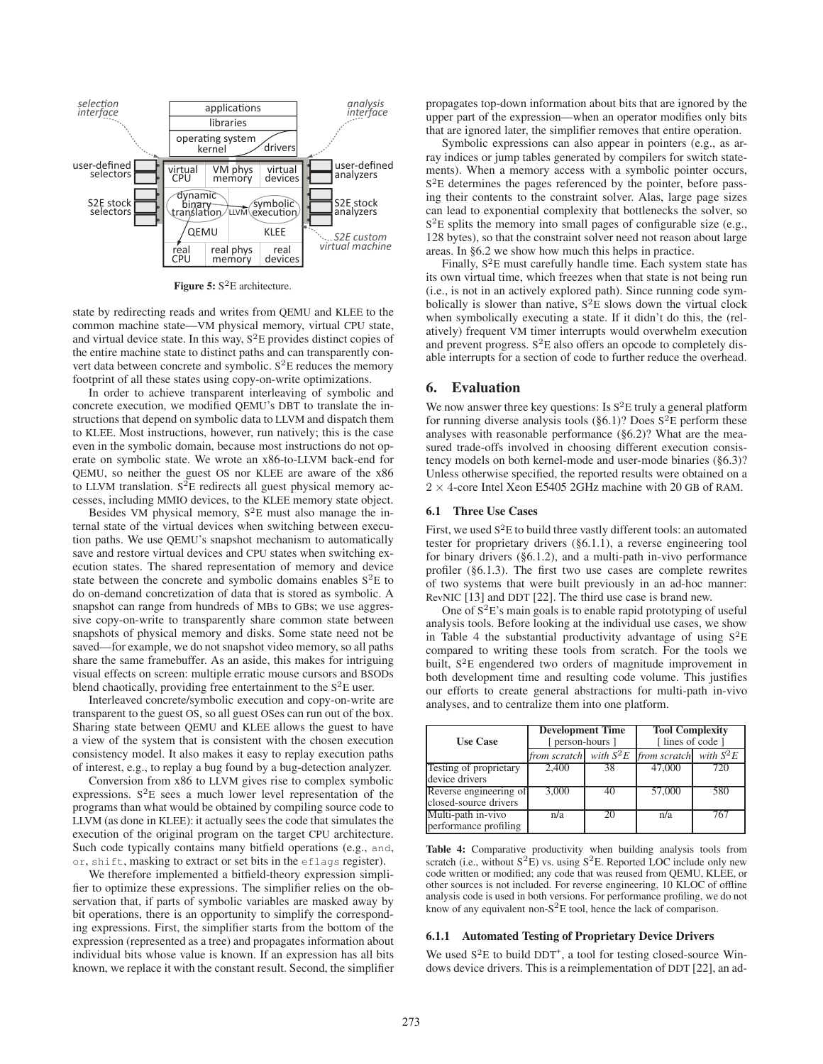

Figure 5:  $S^2E$  architecture.

state by redirecting reads and writes from QEMU and KLEE to the common machine state—VM physical memory, virtual CPU state, and virtual device state. In this way, S <sup>2</sup>E provides distinct copies of the entire machine state to distinct paths and can transparently convert data between concrete and symbolic. S <sup>2</sup>E reduces the memory footprint of all these states using copy-on-write optimizations.

In order to achieve transparent interleaving of symbolic and concrete execution, we modified QEMU's DBT to translate the instructions that depend on symbolic data to LLVM and dispatch them to KLEE. Most instructions, however, run natively; this is the case even in the symbolic domain, because most instructions do not operate on symbolic state. We wrote an x86-to-LLVM back-end for QEMU, so neither the guest OS nor KLEE are aware of the x86 to LLVM translation.  $S^2E$  redirects all guest physical memory accesses, including MMIO devices, to the KLEE memory state object.

Besides VM physical memory, S <sup>2</sup>E must also manage the internal state of the virtual devices when switching between execution paths. We use QEMU's snapshot mechanism to automatically save and restore virtual devices and CPU states when switching execution states. The shared representation of memory and device state between the concrete and symbolic domains enables S <sup>2</sup>E to do on-demand concretization of data that is stored as symbolic. A snapshot can range from hundreds of MBs to GBs; we use aggressive copy-on-write to transparently share common state between snapshots of physical memory and disks. Some state need not be saved—for example, we do not snapshot video memory, so all paths share the same framebuffer. As an aside, this makes for intriguing visual effects on screen: multiple erratic mouse cursors and BSODs blend chaotically, providing free entertainment to the S<sup>2</sup>E user.

Interleaved concrete/symbolic execution and copy-on-write are transparent to the guest OS, so all guest OSes can run out of the box. Sharing state between QEMU and KLEE allows the guest to have a view of the system that is consistent with the chosen execution consistency model. It also makes it easy to replay execution paths of interest, e.g., to replay a bug found by a bug-detection analyzer.

Conversion from x86 to LLVM gives rise to complex symbolic expressions. S <sup>2</sup>E sees a much lower level representation of the programs than what would be obtained by compiling source code to LLVM (as done in KLEE): it actually sees the code that simulates the execution of the original program on the target CPU architecture. Such code typically contains many bitfield operations (e.g., and, or, shift, masking to extract or set bits in the eflags register).

We therefore implemented a bitfield-theory expression simplifier to optimize these expressions. The simplifier relies on the observation that, if parts of symbolic variables are masked away by bit operations, there is an opportunity to simplify the corresponding expressions. First, the simplifier starts from the bottom of the expression (represented as a tree) and propagates information about individual bits whose value is known. If an expression has all bits known, we replace it with the constant result. Second, the simplifier propagates top-down information about bits that are ignored by the upper part of the expression—when an operator modifies only bits that are ignored later, the simplifier removes that entire operation.

Symbolic expressions can also appear in pointers (e.g., as array indices or jump tables generated by compilers for switch statements). When a memory access with a symbolic pointer occurs, S <sup>2</sup>E determines the pages referenced by the pointer, before passing their contents to the constraint solver. Alas, large page sizes can lead to exponential complexity that bottlenecks the solver, so S <sup>2</sup>E splits the memory into small pages of configurable size (e.g., 128 bytes), so that the constraint solver need not reason about large areas. In §6.2 we show how much this helps in practice.

Finally,  $S^2E$  must carefully handle time. Each system state has its own virtual time, which freezes when that state is not being run (i.e., is not in an actively explored path). Since running code symbolically is slower than native,  $S^2$ E slows down the virtual clock when symbolically executing a state. If it didn't do this, the (relatively) frequent VM timer interrupts would overwhelm execution and prevent progress. S <sup>2</sup>E also offers an opcode to completely disable interrupts for a section of code to further reduce the overhead.

# 6. Evaluation

We now answer three key questions: Is  $S^2E$  truly a general platform for running diverse analysis tools (§6.1)? Does  $S^2E$  perform these analyses with reasonable performance (§6.2)? What are the measured trade-offs involved in choosing different execution consistency models on both kernel-mode and user-mode binaries (§6.3)? Unless otherwise specified, the reported results were obtained on a  $2 \times 4$ -core Intel Xeon E5405 2GHz machine with 20 GB of RAM.

#### 6.1 Three Use Cases

First, we used S<sup>2</sup>E to build three vastly different tools: an automated tester for proprietary drivers (§6.1.1), a reverse engineering tool for binary drivers (§6.1.2), and a multi-path in-vivo performance profiler (§6.1.3). The first two use cases are complete rewrites of two systems that were built previously in an ad-hoc manner: RevNIC [13] and DDT [22]. The third use case is brand new.

One of S <sup>2</sup>E's main goals is to enable rapid prototyping of useful analysis tools. Before looking at the individual use cases, we show in Table 4 the substantial productivity advantage of using  $S^2E$ compared to writing these tools from scratch. For the tools we built, S<sup>2</sup>E engendered two orders of magnitude improvement in both development time and resulting code volume. This justifies our efforts to create general abstractions for multi-path in-vivo analyses, and to centralize them into one platform.

| <b>Use Case</b>                                 | <b>Development Time</b><br>[ person-hours ] |             | <b>Tool Complexity</b><br>[lines of code] |             |
|-------------------------------------------------|---------------------------------------------|-------------|-------------------------------------------|-------------|
|                                                 | from scratch                                | with $S^2E$ | from scratch                              | with $S^2E$ |
| Testing of proprietary<br>device drivers        | 2,400                                       | 38          | 47,000                                    | 720         |
| Reverse engineering of<br>closed-source drivers | 3,000                                       | 40          | 57,000                                    | 580         |
| Multi-path in-vivo<br>performance profiling     | n/a                                         |             | n/a                                       | 761         |

Table 4: Comparative productivity when building analysis tools from scratch (i.e., without  $S^2E$ ) vs. using  $S^2E$ . Reported LOC include only new code written or modified; any code that was reused from QEMU, KLEE, or other sources is not included. For reverse engineering, 10 KLOC of offline analysis code is used in both versions. For performance profiling, we do not know of any equivalent non- $S^2E$  tool, hence the lack of comparison.

#### 6.1.1 Automated Testing of Proprietary Device Drivers

We used  $S^2E$  to build DDT<sup>+</sup>, a tool for testing closed-source Windows device drivers. This is a reimplementation of DDT [22], an ad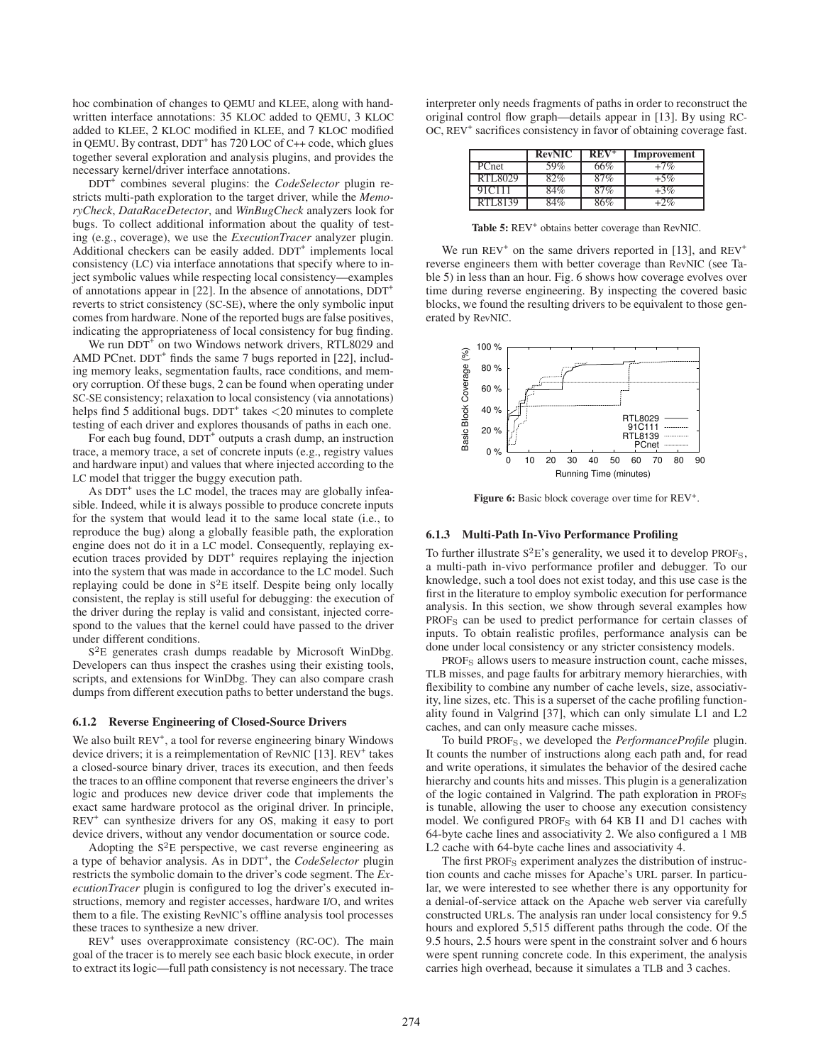hoc combination of changes to QEMU and KLEE, along with handwritten interface annotations: 35 KLOC added to QEMU, 3 KLOC added to KLEE, 2 KLOC modified in KLEE, and 7 KLOC modified in QEMU. By contrast, DDT<sup>+</sup> has 720 LOC of C++ code, which glues together several exploration and analysis plugins, and provides the necessary kernel/driver interface annotations.

DDT<sup>+</sup> combines several plugins: the *CodeSelector* plugin restricts multi-path exploration to the target driver, while the *MemoryCheck*, *DataRaceDetector*, and *WinBugCheck* analyzers look for bugs. To collect additional information about the quality of testing (e.g., coverage), we use the *ExecutionTracer* analyzer plugin. Additional checkers can be easily added. DDT<sup>+</sup> implements local consistency (LC) via interface annotations that specify where to inject symbolic values while respecting local consistency—examples of annotations appear in  $[22]$ . In the absence of annotations,  $DDT^+$ reverts to strict consistency (SC-SE), where the only symbolic input comes from hardware. None of the reported bugs are false positives, indicating the appropriateness of local consistency for bug finding.

We run DDT<sup>+</sup> on two Windows network drivers, RTL8029 and AMD PCnet. DDT<sup>+</sup> finds the same 7 bugs reported in [22], including memory leaks, segmentation faults, race conditions, and memory corruption. Of these bugs, 2 can be found when operating under SC-SE consistency; relaxation to local consistency (via annotations) helps find 5 additional bugs.  $DDT<sup>+</sup>$  takes <20 minutes to complete testing of each driver and explores thousands of paths in each one.

For each bug found,  $DDT^{+}$  outputs a crash dump, an instruction trace, a memory trace, a set of concrete inputs (e.g., registry values and hardware input) and values that where injected according to the LC model that trigger the buggy execution path.

As DDT<sup>+</sup> uses the LC model, the traces may are globally infeasible. Indeed, while it is always possible to produce concrete inputs for the system that would lead it to the same local state (i.e., to reproduce the bug) along a globally feasible path, the exploration engine does not do it in a LC model. Consequently, replaying execution traces provided by DDT<sup>+</sup> requires replaying the injection into the system that was made in accordance to the LC model. Such replaying could be done in S <sup>2</sup>E itself. Despite being only locally consistent, the replay is still useful for debugging: the execution of the driver during the replay is valid and consistant, injected correspond to the values that the kernel could have passed to the driver under different conditions.

S <sup>2</sup>E generates crash dumps readable by Microsoft WinDbg. Developers can thus inspect the crashes using their existing tools, scripts, and extensions for WinDbg. They can also compare crash dumps from different execution paths to better understand the bugs.

#### 6.1.2 Reverse Engineering of Closed-Source Drivers

We also built REV<sup>+</sup>, a tool for reverse engineering binary Windows device drivers; it is a reimplementation of RevNIC [13]. REV<sup>+</sup> takes a closed-source binary driver, traces its execution, and then feeds the traces to an offline component that reverse engineers the driver's logic and produces new device driver code that implements the exact same hardware protocol as the original driver. In principle, REV<sup>+</sup> can synthesize drivers for any OS, making it easy to port device drivers, without any vendor documentation or source code.

Adopting the S <sup>2</sup>E perspective, we cast reverse engineering as a type of behavior analysis. As in DDT<sup>+</sup>, the *CodeSelector* plugin restricts the symbolic domain to the driver's code segment. The *ExecutionTracer* plugin is configured to log the driver's executed instructions, memory and register accesses, hardware I/O, and writes them to a file. The existing RevNIC's offline analysis tool processes these traces to synthesize a new driver.

REV<sup>+</sup> uses overapproximate consistency (RC-OC). The main goal of the tracer is to merely see each basic block execute, in order to extract its logic—full path consistency is not necessary. The trace interpreter only needs fragments of paths in order to reconstruct the original control flow graph—details appear in [13]. By using RC-OC, REV<sup>+</sup> sacrifices consistency in favor of obtaining coverage fast.

|                    | <b>RevNIC</b> | REV <sup>+</sup> | Improvement |
|--------------------|---------------|------------------|-------------|
| <b>PC</b> net      | 59%           | 66%              | $+7%$       |
| RTL8029            | 82%           | 87%              | $+5\%$      |
| 91C <sub>111</sub> | 84%           | 87%              | $+3%$       |
| RTL8139            | 84%           | 86%              | $+2%$       |

Table 5: REV<sup>+</sup> obtains better coverage than RevNIC.

We run  $REV^+$  on the same drivers reported in [13], and  $REV^+$ reverse engineers them with better coverage than RevNIC (see Table 5) in less than an hour. Fig. 6 shows how coverage evolves over time during reverse engineering. By inspecting the covered basic blocks, we found the resulting drivers to be equivalent to those generated by RevNIC.



Figure 6: Basic block coverage over time for REV<sup>+</sup>.

#### 6.1.3 Multi-Path In-Vivo Performance Profiling

To further illustrate S <sup>2</sup>E's generality, we used it to develop PROFS, a multi-path in-vivo performance profiler and debugger. To our knowledge, such a tool does not exist today, and this use case is the first in the literature to employ symbolic execution for performance analysis. In this section, we show through several examples how PROF<sup>S</sup> can be used to predict performance for certain classes of inputs. To obtain realistic profiles, performance analysis can be done under local consistency or any stricter consistency models.

PROF<sup>S</sup> allows users to measure instruction count, cache misses, TLB misses, and page faults for arbitrary memory hierarchies, with flexibility to combine any number of cache levels, size, associativity, line sizes, etc. This is a superset of the cache profiling functionality found in Valgrind [37], which can only simulate L1 and L2 caches, and can only measure cache misses.

To build PROFS, we developed the *PerformanceProfile* plugin. It counts the number of instructions along each path and, for read and write operations, it simulates the behavior of the desired cache hierarchy and counts hits and misses. This plugin is a generalization of the logic contained in Valgrind. The path exploration in PROF<sup>S</sup> is tunable, allowing the user to choose any execution consistency model. We configured PROF<sup>S</sup> with 64 KB I1 and D1 caches with 64-byte cache lines and associativity 2. We also configured a 1 MB L2 cache with 64-byte cache lines and associativity 4.

The first PROF<sup>S</sup> experiment analyzes the distribution of instruction counts and cache misses for Apache's URL parser. In particular, we were interested to see whether there is any opportunity for a denial-of-service attack on the Apache web server via carefully constructed URLs. The analysis ran under local consistency for 9.5 hours and explored 5,515 different paths through the code. Of the 9.5 hours, 2.5 hours were spent in the constraint solver and 6 hours were spent running concrete code. In this experiment, the analysis carries high overhead, because it simulates a TLB and 3 caches.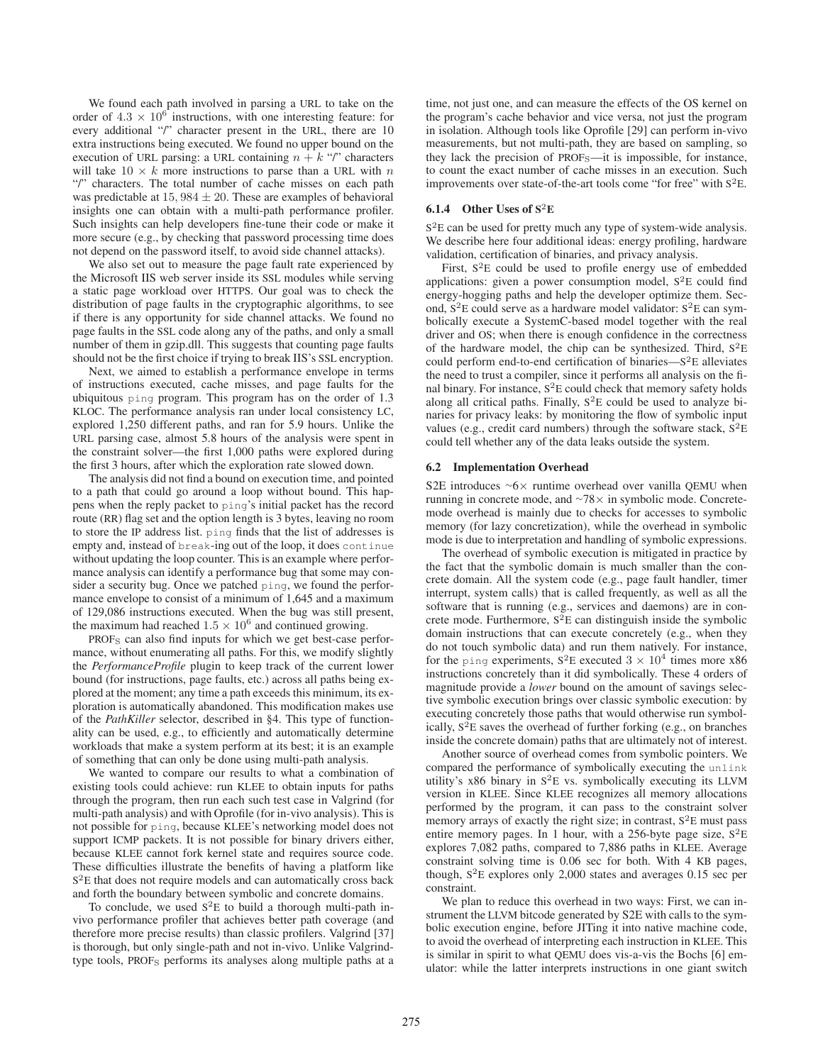We found each path involved in parsing a URL to take on the order of  $4.3 \times 10^6$  instructions, with one interesting feature: for every additional "/" character present in the URL, there are 10 extra instructions being executed. We found no upper bound on the execution of URL parsing: a URL containing  $n + k$  " $l$ " characters will take  $10 \times k$  more instructions to parse than a URL with n "/" characters. The total number of cache misses on each path was predictable at 15,  $984 \pm 20$ . These are examples of behavioral insights one can obtain with a multi-path performance profiler. Such insights can help developers fine-tune their code or make it more secure (e.g., by checking that password processing time does not depend on the password itself, to avoid side channel attacks).

We also set out to measure the page fault rate experienced by the Microsoft IIS web server inside its SSL modules while serving a static page workload over HTTPS. Our goal was to check the distribution of page faults in the cryptographic algorithms, to see if there is any opportunity for side channel attacks. We found no page faults in the SSL code along any of the paths, and only a small number of them in gzip.dll. This suggests that counting page faults should not be the first choice if trying to break IIS's SSL encryption.

Next, we aimed to establish a performance envelope in terms of instructions executed, cache misses, and page faults for the ubiquitous ping program. This program has on the order of 1.3 KLOC. The performance analysis ran under local consistency LC, explored 1,250 different paths, and ran for 5.9 hours. Unlike the URL parsing case, almost 5.8 hours of the analysis were spent in the constraint solver—the first 1,000 paths were explored during the first 3 hours, after which the exploration rate slowed down.

The analysis did not find a bound on execution time, and pointed to a path that could go around a loop without bound. This happens when the reply packet to ping's initial packet has the record route (RR) flag set and the option length is 3 bytes, leaving no room to store the IP address list. ping finds that the list of addresses is empty and, instead of break-ing out of the loop, it does continue without updating the loop counter. This is an example where performance analysis can identify a performance bug that some may consider a security bug. Once we patched  $\text{ping}$ , we found the performance envelope to consist of a minimum of 1,645 and a maximum of 129,086 instructions executed. When the bug was still present, the maximum had reached  $1.5 \times 10^6$  and continued growing.

PROF<sup>S</sup> can also find inputs for which we get best-case performance, without enumerating all paths. For this, we modify slightly the *PerformanceProfile* plugin to keep track of the current lower bound (for instructions, page faults, etc.) across all paths being explored at the moment; any time a path exceeds this minimum, its exploration is automatically abandoned. This modification makes use of the *PathKiller* selector, described in §4. This type of functionality can be used, e.g., to efficiently and automatically determine workloads that make a system perform at its best; it is an example of something that can only be done using multi-path analysis.

We wanted to compare our results to what a combination of existing tools could achieve: run KLEE to obtain inputs for paths through the program, then run each such test case in Valgrind (for multi-path analysis) and with Oprofile (for in-vivo analysis). This is not possible for ping, because KLEE's networking model does not support ICMP packets. It is not possible for binary drivers either, because KLEE cannot fork kernel state and requires source code. These difficulties illustrate the benefits of having a platform like S <sup>2</sup>E that does not require models and can automatically cross back and forth the boundary between symbolic and concrete domains.

To conclude, we used S <sup>2</sup>E to build a thorough multi-path invivo performance profiler that achieves better path coverage (and therefore more precise results) than classic profilers. Valgrind [37] is thorough, but only single-path and not in-vivo. Unlike Valgrindtype tools, PROF<sub>S</sub> performs its analyses along multiple paths at a time, not just one, and can measure the effects of the OS kernel on the program's cache behavior and vice versa, not just the program in isolation. Although tools like Oprofile [29] can perform in-vivo measurements, but not multi-path, they are based on sampling, so they lack the precision of PROFS—it is impossible, for instance, to count the exact number of cache misses in an execution. Such improvements over state-of-the-art tools come "for free" with S <sup>2</sup>E.

# 6.1.4 Other Uses of  $S^2E$

S <sup>2</sup>E can be used for pretty much any type of system-wide analysis. We describe here four additional ideas: energy profiling, hardware validation, certification of binaries, and privacy analysis.

First,  $S^2E$  could be used to profile energy use of embedded applications: given a power consumption model, S <sup>2</sup>E could find energy-hogging paths and help the developer optimize them. Second, S <sup>2</sup>E could serve as a hardware model validator: S <sup>2</sup>E can symbolically execute a SystemC-based model together with the real driver and OS; when there is enough confidence in the correctness of the hardware model, the chip can be synthesized. Third, S 2E could perform end-to-end certification of binaries—S <sup>2</sup>E alleviates the need to trust a compiler, since it performs all analysis on the final binary. For instance, S <sup>2</sup>E could check that memory safety holds along all critical paths. Finally, S <sup>2</sup>E could be used to analyze binaries for privacy leaks: by monitoring the flow of symbolic input values (e.g., credit card numbers) through the software stack,  $S^2E$ could tell whether any of the data leaks outside the system.

#### 6.2 Implementation Overhead

S2E introduces <sup>∼</sup>6× runtime overhead over vanilla QEMU when running in concrete mode, and <sup>∼</sup>78× in symbolic mode. Concretemode overhead is mainly due to checks for accesses to symbolic memory (for lazy concretization), while the overhead in symbolic mode is due to interpretation and handling of symbolic expressions.

The overhead of symbolic execution is mitigated in practice by the fact that the symbolic domain is much smaller than the concrete domain. All the system code (e.g., page fault handler, timer interrupt, system calls) that is called frequently, as well as all the software that is running (e.g., services and daemons) are in concrete mode. Furthermore,  $S^2E$  can distinguish inside the symbolic domain instructions that can execute concretely (e.g., when they do not touch symbolic data) and run them natively. For instance, for the ping experiments,  $S^2E$  executed  $3 \times 10^4$  times more x86 instructions concretely than it did symbolically. These 4 orders of magnitude provide a *lower* bound on the amount of savings selective symbolic execution brings over classic symbolic execution: by executing concretely those paths that would otherwise run symbolically, S <sup>2</sup>E saves the overhead of further forking (e.g., on branches inside the concrete domain) paths that are ultimately not of interest.

Another source of overhead comes from symbolic pointers. We compared the performance of symbolically executing the unlink utility's x86 binary in S <sup>2</sup>E vs. symbolically executing its LLVM version in KLEE. Since KLEE recognizes all memory allocations performed by the program, it can pass to the constraint solver memory arrays of exactly the right size; in contrast, S<sup>2</sup>E must pass entire memory pages. In 1 hour, with a 256-byte page size,  $S^2E$ explores 7,082 paths, compared to 7,886 paths in KLEE. Average constraint solving time is 0.06 sec for both. With 4 KB pages, though, S <sup>2</sup>E explores only 2,000 states and averages 0.15 sec per constraint.

We plan to reduce this overhead in two ways: First, we can instrument the LLVM bitcode generated by S2E with calls to the symbolic execution engine, before JITing it into native machine code, to avoid the overhead of interpreting each instruction in KLEE. This is similar in spirit to what QEMU does vis-a-vis the Bochs [6] emulator: while the latter interprets instructions in one giant switch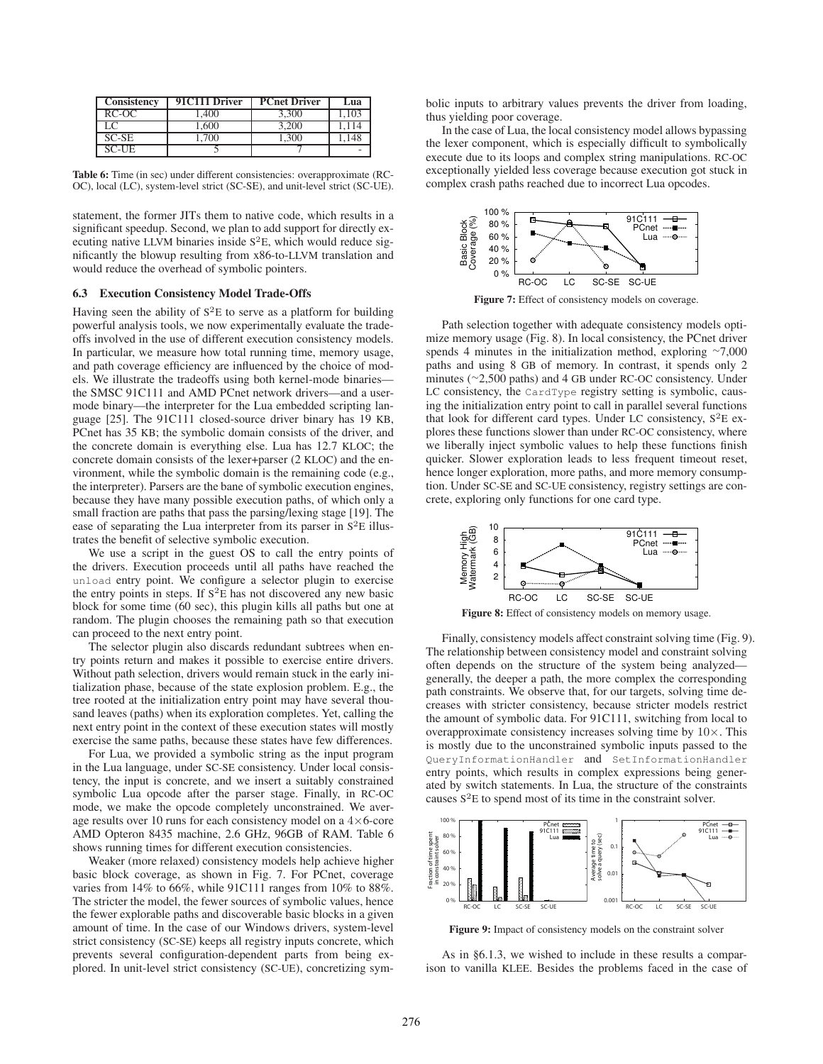| <b>Consistency</b> | 91C111 Driver | <b>PCnet Driver</b> | Lua             |
|--------------------|---------------|---------------------|-----------------|
| RC-OC              | 1.400         | 3.300               | 10 <sup>°</sup> |
| LC                 | .600          | 3.200               | $\Box$          |
| $SC-SE$            | .700          |                     | (4،             |
| SC-UE              |               |                     |                 |

Table 6: Time (in sec) under different consistencies: overapproximate (RC-OC), local (LC), system-level strict (SC-SE), and unit-level strict (SC-UE).

statement, the former JITs them to native code, which results in a significant speedup. Second, we plan to add support for directly executing native LLVM binaries inside S<sup>2</sup>E, which would reduce significantly the blowup resulting from x86-to-LLVM translation and would reduce the overhead of symbolic pointers.

#### 6.3 Execution Consistency Model Trade-Offs

Having seen the ability of  $S^2E$  to serve as a platform for building powerful analysis tools, we now experimentally evaluate the tradeoffs involved in the use of different execution consistency models. In particular, we measure how total running time, memory usage, and path coverage efficiency are influenced by the choice of models. We illustrate the tradeoffs using both kernel-mode binaries the SMSC 91C111 and AMD PCnet network drivers—and a usermode binary—the interpreter for the Lua embedded scripting language [25]. The 91C111 closed-source driver binary has 19 KB, PCnet has 35 KB; the symbolic domain consists of the driver, and the concrete domain is everything else. Lua has 12.7 KLOC; the concrete domain consists of the lexer+parser (2 KLOC) and the environment, while the symbolic domain is the remaining code (e.g., the interpreter). Parsers are the bane of symbolic execution engines, because they have many possible execution paths, of which only a small fraction are paths that pass the parsing/lexing stage [19]. The ease of separating the Lua interpreter from its parser in S<sup>2</sup>E illustrates the benefit of selective symbolic execution.

We use a script in the guest OS to call the entry points of the drivers. Execution proceeds until all paths have reached the unload entry point. We configure a selector plugin to exercise the entry points in steps. If S <sup>2</sup>E has not discovered any new basic block for some time (60 sec), this plugin kills all paths but one at random. The plugin chooses the remaining path so that execution can proceed to the next entry point.

The selector plugin also discards redundant subtrees when entry points return and makes it possible to exercise entire drivers. Without path selection, drivers would remain stuck in the early initialization phase, because of the state explosion problem. E.g., the tree rooted at the initialization entry point may have several thousand leaves (paths) when its exploration completes. Yet, calling the next entry point in the context of these execution states will mostly exercise the same paths, because these states have few differences.

For Lua, we provided a symbolic string as the input program in the Lua language, under SC-SE consistency. Under local consistency, the input is concrete, and we insert a suitably constrained symbolic Lua opcode after the parser stage. Finally, in RC-OC mode, we make the opcode completely unconstrained. We average results over 10 runs for each consistency model on a  $4\times$ 6-core AMD Opteron 8435 machine, 2.6 GHz, 96GB of RAM. Table 6 shows running times for different execution consistencies.

Weaker (more relaxed) consistency models help achieve higher basic block coverage, as shown in Fig. 7. For PCnet, coverage varies from 14% to 66%, while 91C111 ranges from 10% to 88%. The stricter the model, the fewer sources of symbolic values, hence the fewer explorable paths and discoverable basic blocks in a given amount of time. In the case of our Windows drivers, system-level strict consistency (SC-SE) keeps all registry inputs concrete, which prevents several configuration-dependent parts from being explored. In unit-level strict consistency (SC-UE), concretizing symbolic inputs to arbitrary values prevents the driver from loading, thus yielding poor coverage.

In the case of Lua, the local consistency model allows bypassing the lexer component, which is especially difficult to symbolically execute due to its loops and complex string manipulations. RC-OC exceptionally yielded less coverage because execution got stuck in complex crash paths reached due to incorrect Lua opcodes.



Figure 7: Effect of consistency models on coverage.

Path selection together with adequate consistency models optimize memory usage (Fig. 8). In local consistency, the PCnet driver spends 4 minutes in the initialization method, exploring ∼7,000 paths and using 8 GB of memory. In contrast, it spends only 2 minutes (<sup>∼</sup>2,500 paths) and 4 GB under RC-OC consistency. Under LC consistency, the CardType registry setting is symbolic, causing the initialization entry point to call in parallel several functions that look for different card types. Under LC consistency, S<sup>2</sup>E explores these functions slower than under RC-OC consistency, where we liberally inject symbolic values to help these functions finish quicker. Slower exploration leads to less frequent timeout reset, hence longer exploration, more paths, and more memory consumption. Under SC-SE and SC-UE consistency, registry settings are concrete, exploring only functions for one card type.



Figure 8: Effect of consistency models on memory usage.

Finally, consistency models affect constraint solving time (Fig. 9). The relationship between consistency model and constraint solving often depends on the structure of the system being analyzed generally, the deeper a path, the more complex the corresponding path constraints. We observe that, for our targets, solving time decreases with stricter consistency, because stricter models restrict the amount of symbolic data. For 91C111, switching from local to overapproximate consistency increases solving time by  $10\times$ . This is mostly due to the unconstrained symbolic inputs passed to the QueryInformationHandler and SetInformationHandler entry points, which results in complex expressions being generated by switch statements. In Lua, the structure of the constraints causes S <sup>2</sup>E to spend most of its time in the constraint solver.



Figure 9: Impact of consistency models on the constraint solver

As in §6.1.3, we wished to include in these results a comparison to vanilla KLEE. Besides the problems faced in the case of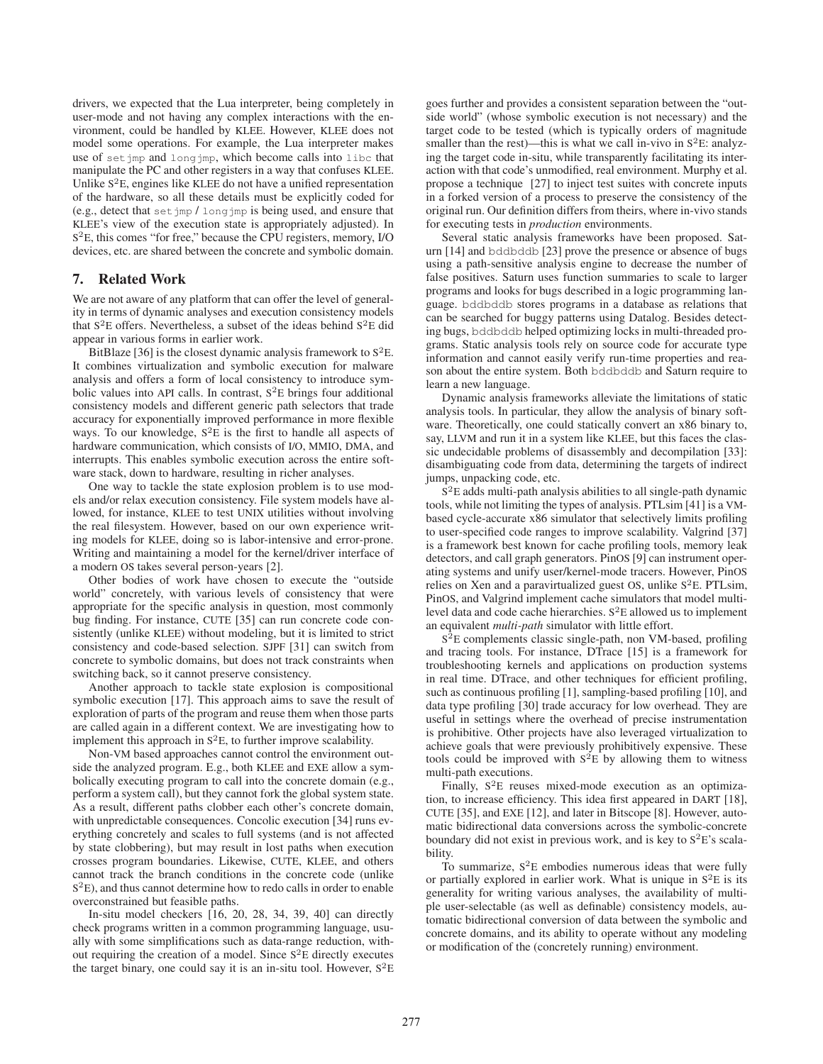drivers, we expected that the Lua interpreter, being completely in user-mode and not having any complex interactions with the environment, could be handled by KLEE. However, KLEE does not model some operations. For example, the Lua interpreter makes use of setjmp and longjmp, which become calls into libc that manipulate the PC and other registers in a way that confuses KLEE. Unlike S <sup>2</sup>E, engines like KLEE do not have a unified representation of the hardware, so all these details must be explicitly coded for (e.g., detect that setjmp / longjmp is being used, and ensure that KLEE's view of the execution state is appropriately adjusted). In S <sup>2</sup>E, this comes "for free," because the CPU registers, memory, I/O devices, etc. are shared between the concrete and symbolic domain.

# 7. Related Work

We are not aware of any platform that can offer the level of generality in terms of dynamic analyses and execution consistency models that S <sup>2</sup>E offers. Nevertheless, a subset of the ideas behind S <sup>2</sup>E did appear in various forms in earlier work.

BitBlaze [36] is the closest dynamic analysis framework to  $S^2E$ . It combines virtualization and symbolic execution for malware analysis and offers a form of local consistency to introduce symbolic values into API calls. In contrast, S <sup>2</sup>E brings four additional consistency models and different generic path selectors that trade accuracy for exponentially improved performance in more flexible ways. To our knowledge, S <sup>2</sup>E is the first to handle all aspects of hardware communication, which consists of I/O, MMIO, DMA, and interrupts. This enables symbolic execution across the entire software stack, down to hardware, resulting in richer analyses.

One way to tackle the state explosion problem is to use models and/or relax execution consistency. File system models have allowed, for instance, KLEE to test UNIX utilities without involving the real filesystem. However, based on our own experience writing models for KLEE, doing so is labor-intensive and error-prone. Writing and maintaining a model for the kernel/driver interface of a modern OS takes several person-years [2].

Other bodies of work have chosen to execute the "outside world" concretely, with various levels of consistency that were appropriate for the specific analysis in question, most commonly bug finding. For instance, CUTE [35] can run concrete code consistently (unlike KLEE) without modeling, but it is limited to strict consistency and code-based selection. SJPF [31] can switch from concrete to symbolic domains, but does not track constraints when switching back, so it cannot preserve consistency.

Another approach to tackle state explosion is compositional symbolic execution [17]. This approach aims to save the result of exploration of parts of the program and reuse them when those parts are called again in a different context. We are investigating how to implement this approach in S <sup>2</sup>E, to further improve scalability.

Non-VM based approaches cannot control the environment outside the analyzed program. E.g., both KLEE and EXE allow a symbolically executing program to call into the concrete domain (e.g., perform a system call), but they cannot fork the global system state. As a result, different paths clobber each other's concrete domain, with unpredictable consequences. Concolic execution [34] runs everything concretely and scales to full systems (and is not affected by state clobbering), but may result in lost paths when execution crosses program boundaries. Likewise, CUTE, KLEE, and others cannot track the branch conditions in the concrete code (unlike S <sup>2</sup>E), and thus cannot determine how to redo calls in order to enable overconstrained but feasible paths.

In-situ model checkers [16, 20, 28, 34, 39, 40] can directly check programs written in a common programming language, usually with some simplifications such as data-range reduction, without requiring the creation of a model. Since S <sup>2</sup>E directly executes the target binary, one could say it is an in-situ tool. However,  $S^2E$ 

goes further and provides a consistent separation between the "outside world" (whose symbolic execution is not necessary) and the target code to be tested (which is typically orders of magnitude smaller than the rest)—this is what we call in-vivo in  $S^2E$ : analyzing the target code in-situ, while transparently facilitating its interaction with that code's unmodified, real environment. Murphy et al. propose a technique [27] to inject test suites with concrete inputs in a forked version of a process to preserve the consistency of the original run. Our definition differs from theirs, where in-vivo stands for executing tests in *production* environments.

Several static analysis frameworks have been proposed. Saturn [14] and bddbddb [23] prove the presence or absence of bugs using a path-sensitive analysis engine to decrease the number of false positives. Saturn uses function summaries to scale to larger programs and looks for bugs described in a logic programming language. bddbddb stores programs in a database as relations that can be searched for buggy patterns using Datalog. Besides detecting bugs, bddbddb helped optimizing locks in multi-threaded programs. Static analysis tools rely on source code for accurate type information and cannot easily verify run-time properties and reason about the entire system. Both bddbddb and Saturn require to learn a new language.

Dynamic analysis frameworks alleviate the limitations of static analysis tools. In particular, they allow the analysis of binary software. Theoretically, one could statically convert an x86 binary to, say, LLVM and run it in a system like KLEE, but this faces the classic undecidable problems of disassembly and decompilation [33]: disambiguating code from data, determining the targets of indirect jumps, unpacking code, etc.

S <sup>2</sup>E adds multi-path analysis abilities to all single-path dynamic tools, while not limiting the types of analysis. PTLsim [41] is a VMbased cycle-accurate x86 simulator that selectively limits profiling to user-specified code ranges to improve scalability. Valgrind [37] is a framework best known for cache profiling tools, memory leak detectors, and call graph generators. PinOS [9] can instrument operating systems and unify user/kernel-mode tracers. However, PinOS relies on Xen and a paravirtualized guest OS, unlike S <sup>2</sup>E. PTLsim, PinOS, and Valgrind implement cache simulators that model multilevel data and code cache hierarchies. S <sup>2</sup>E allowed us to implement an equivalent *multi-path* simulator with little effort.

 $S<sup>2</sup>E$  complements classic single-path, non VM-based, profiling and tracing tools. For instance, DTrace [15] is a framework for troubleshooting kernels and applications on production systems in real time. DTrace, and other techniques for efficient profiling, such as continuous profiling [1], sampling-based profiling [10], and data type profiling [30] trade accuracy for low overhead. They are useful in settings where the overhead of precise instrumentation is prohibitive. Other projects have also leveraged virtualization to achieve goals that were previously prohibitively expensive. These tools could be improved with S <sup>2</sup>E by allowing them to witness multi-path executions.

Finally, S<sup>2</sup>E reuses mixed-mode execution as an optimization, to increase efficiency. This idea first appeared in DART [18], CUTE [35], and EXE [12], and later in Bitscope [8]. However, automatic bidirectional data conversions across the symbolic-concrete boundary did not exist in previous work, and is key to S <sup>2</sup>E's scalability.

To summarize, S <sup>2</sup>E embodies numerous ideas that were fully or partially explored in earlier work. What is unique in S <sup>2</sup>E is its generality for writing various analyses, the availability of multiple user-selectable (as well as definable) consistency models, automatic bidirectional conversion of data between the symbolic and concrete domains, and its ability to operate without any modeling or modification of the (concretely running) environment.